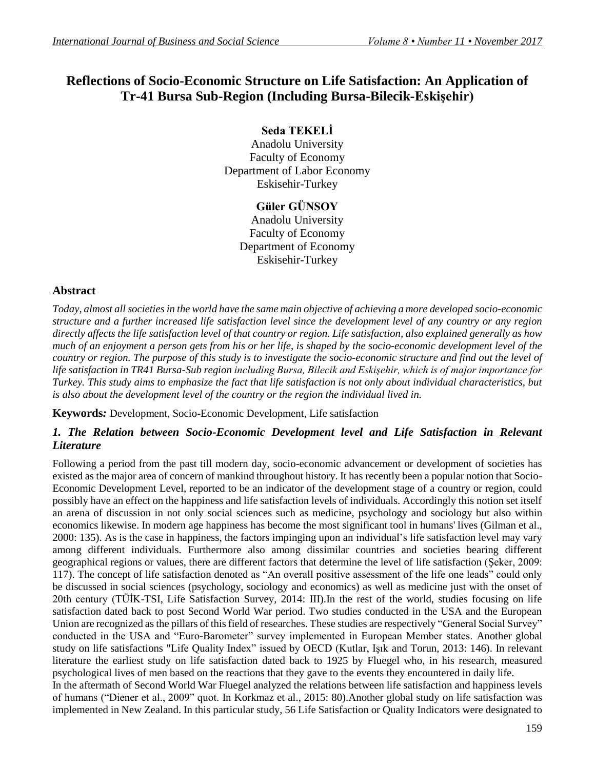# **Reflections of Socio-Economic Structure on Life Satisfaction: An Application of Tr-41 Bursa Sub-Region (Including Bursa-Bilecik-Eskişehir)**

# **Seda TEKELİ**

Anadolu University Faculty of Economy Department of Labor Economy Eskisehir-Turkey

# **Güler GÜNSOY**

Anadolu University Faculty of Economy Department of Economy Eskisehir-Turkey

## **Abstract**

*Today, almost all societies in the world have the same main objective of achieving a more developed socio-economic structure and a further increased life satisfaction level since the development level of any country or any region directly affects the life satisfaction level of that country or region. Life satisfaction, also explained generally as how much of an enjoyment a person gets from his or her life, is shaped by the socio-economic development level of the country or region. The purpose of this study is to investigate the socio-economic structure and find out the level of life satisfaction in TR41 Bursa-Sub region including Bursa, Bilecik and Eskişehir, which is of major importance for Turkey. This study aims to emphasize the fact that life satisfaction is not only about individual characteristics, but is also about the development level of the country or the region the individual lived in.* 

**Keywords***:* Development, Socio-Economic Development, Life satisfaction

## 1. The Relation between Socio-Economic Development level and Life Satisfaction in Relevant *Literature*

Following a period from the past till modern day, socio-economic advancement or development of societies has existed as the major area of concern of mankind throughout history. It has recently been a popular notion that Socio-Economic Development Level, reported to be an indicator of the development stage of a country or region, could possibly have an effect on the happiness and life satisfaction levels of individuals. Accordingly this notion set itself an arena of discussion in not only social sciences such as medicine, psychology and sociology but also within economics likewise. In modern age happiness has become the most significant tool in humans' lives (Gilman et al., 2000: 135). As is the case in happiness, the factors impinging upon an individual's life satisfaction level may vary among different individuals. Furthermore also among dissimilar countries and societies bearing different geographical regions or values, there are different factors that determine the level of life satisfaction (Şeker, 2009: 117). The concept of life satisfaction denoted as "An overall positive assessment of the life one leads" could only be discussed in social sciences (psychology, sociology and economics) as well as medicine just with the onset of 20th century (TÜİK-TSI, Life Satisfaction Survey, 2014: III).In the rest of the world, studies focusing on life satisfaction dated back to post Second World War period. Two studies conducted in the USA and the European Union are recognized as the pillars of this field of researches. These studies are respectively "General Social Survey" conducted in the USA and "Euro-Barometer" survey implemented in European Member states. Another global study on life satisfactions "Life Quality Index" issued by OECD (Kutlar, Işık and Torun, 2013: 146). In relevant literature the earliest study on life satisfaction dated back to 1925 by Fluegel who, in his research, measured psychological lives of men based on the reactions that they gave to the events they encountered in daily life. In the aftermath of Second World War Fluegel analyzed the relations between life satisfaction and happiness levels of humans ("Diener et al., 2009" quot. In Korkmaz et al., 2015: 80).Another global study on life satisfaction was implemented in New Zealand. In this particular study, 56 Life Satisfaction or Quality Indicators were designated to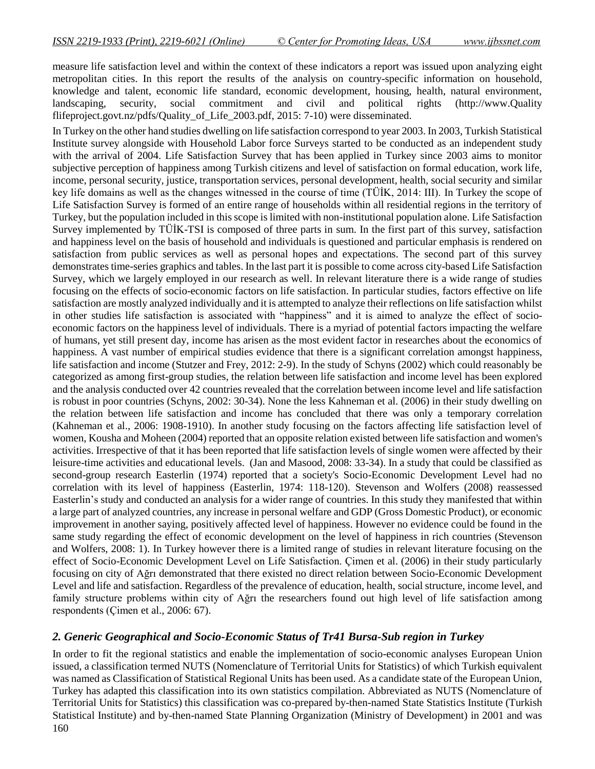measure life satisfaction level and within the context of these indicators a report was issued upon analyzing eight metropolitan cities. In this report the results of the analysis on country-specific information on household, knowledge and talent, economic life standard, economic development, housing, health, natural environment, landscaping, security, social commitment and civil and political rights [\(http://www.](http://www/)Quality flifeproject.govt.nz/pdfs/Quality\_of\_Life\_2003.pdf, 2015: 7-10) were disseminated.

In Turkey on the other hand studies dwelling on life satisfaction correspond to year 2003. In 2003, Turkish Statistical Institute survey alongside with Household Labor force Surveys started to be conducted as an independent study with the arrival of 2004. Life Satisfaction Survey that has been applied in Turkey since 2003 aims to monitor subjective perception of happiness among Turkish citizens and level of satisfaction on formal education, work life, income, personal security, justice, transportation services, personal development, health, social security and similar key life domains as well as the changes witnessed in the course of time (TÜİK, 2014: III). In Turkey the scope of Life Satisfaction Survey is formed of an entire range of households within all residential regions in the territory of Turkey, but the population included in this scope is limited with non-institutional population alone. Life Satisfaction Survey implemented by TÜİK-TSI is composed of three parts in sum. In the first part of this survey, satisfaction and happiness level on the basis of household and individuals is questioned and particular emphasis is rendered on satisfaction from public services as well as personal hopes and expectations. The second part of this survey demonstrates time-series graphics and tables. In the last part it is possible to come across city-based Life Satisfaction Survey, which we largely employed in our research as well. In relevant literature there is a wide range of studies focusing on the effects of socio-economic factors on life satisfaction. In particular studies, factors effective on life satisfaction are mostly analyzed individually and it is attempted to analyze their reflections on life satisfaction whilst in other studies life satisfaction is associated with "happiness" and it is aimed to analyze the effect of socioeconomic factors on the happiness level of individuals. There is a myriad of potential factors impacting the welfare of humans, yet still present day, income has arisen as the most evident factor in researches about the economics of happiness. A vast number of empirical studies evidence that there is a significant correlation amongst happiness, life satisfaction and income (Stutzer and Frey, 2012: 2-9). In the study of Schyns (2002) which could reasonably be categorized as among first-group studies, the relation between life satisfaction and income level has been explored and the analysis conducted over 42 countries revealed that the correlation between income level and life satisfaction is robust in poor countries (Schyns, 2002: 30-34). None the less Kahneman et al. (2006) in their study dwelling on the relation between life satisfaction and income has concluded that there was only a temporary correlation (Kahneman et al., 2006: 1908-1910). In another study focusing on the factors affecting life satisfaction level of women, Kousha and Moheen (2004) reported that an opposite relation existed between life satisfaction and women's activities. Irrespective of that it has been reported that life satisfaction levels of single women were affected by their leisure-time activities and educational levels. (Jan and Masood, 2008: 33-34). In a study that could be classified as second-group research Easterlin (1974) reported that a society's Socio-Economic Development Level had no correlation with its level of happiness (Easterlin, 1974: 118-120). Stevenson and Wolfers (2008) reassessed Easterlin's study and conducted an analysis for a wider range of countries. In this study they manifested that within a large part of analyzed countries, any increase in personal welfare and GDP (Gross Domestic Product), or economic improvement in another saying, positively affected level of happiness. However no evidence could be found in the same study regarding the effect of economic development on the level of happiness in rich countries (Stevenson and Wolfers, 2008: 1). In Turkey however there is a limited range of studies in relevant literature focusing on the effect of Socio-Economic Development Level on Life Satisfaction. Çimen et al. (2006) in their study particularly focusing on city of Ağrı demonstrated that there existed no direct relation between Socio-Economic Development Level and life and satisfaction. Regardless of the prevalence of education, health, social structure, income level, and family structure problems within city of Ağrı the researchers found out high level of life satisfaction among respondents (Çimen et al., 2006: 67).

### *2. Generic Geographical and Socio-Economic Status of Tr41 Bursa-Sub region in Turkey*

160 In order to fit the regional statistics and enable the implementation of socio-economic analyses European Union issued, a classification termed NUTS (Nomenclature of Territorial Units for Statistics) of which Turkish equivalent was named as Classification of Statistical Regional Units has been used. As a candidate state of the European Union, Turkey has adapted this classification into its own statistics compilation. Abbreviated as NUTS (Nomenclature of Territorial Units for Statistics) this classification was co-prepared by-then-named State Statistics Institute (Turkish Statistical Institute) and by-then-named State Planning Organization (Ministry of Development) in 2001 and was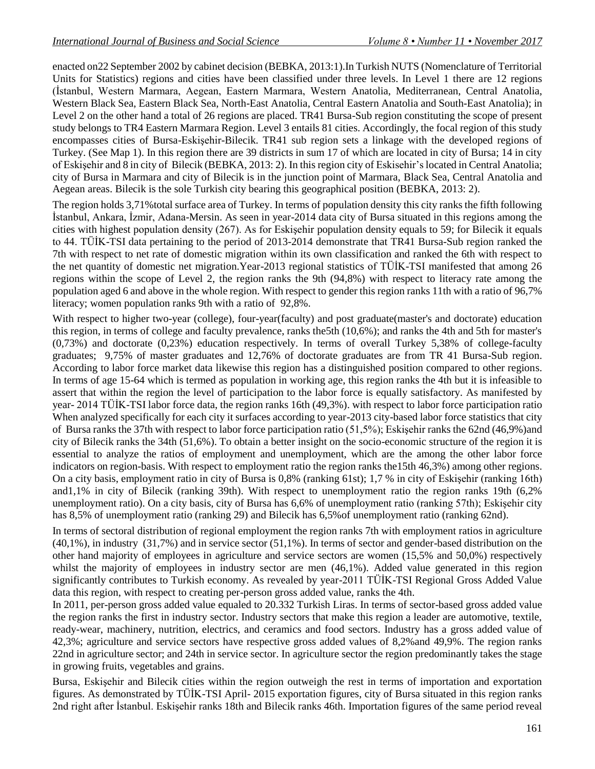enacted on22 September 2002 by cabinet decision (BEBKA, 2013:1).In Turkish NUTS (Nomenclature of Territorial Units for Statistics) regions and cities have been classified under three levels. In Level 1 there are 12 regions (İstanbul, Western Marmara, Aegean, Eastern Marmara, Western Anatolia, Mediterranean, Central Anatolia, Western Black Sea, Eastern Black Sea, North-East Anatolia, Central Eastern Anatolia and South-East Anatolia); in Level 2 on the other hand a total of 26 regions are placed. TR41 Bursa-Sub region constituting the scope of present study belongs to TR4 Eastern Marmara Region. Level 3 entails 81 cities. Accordingly, the focal region of this study encompasses cities of Bursa-Eskişehir-Bilecik. TR41 sub region sets a linkage with the developed regions of Turkey. (See Map 1). In this region there are 39 districts in sum 17 of which are located in city of Bursa; 14 in city of Eskişehir and 8 in city of Bilecik (BEBKA, 2013: 2). In this region city of Eskisehir'slocated in Central Anatolia; city of Bursa in Marmara and city of Bilecik is in the junction point of Marmara, Black Sea, Central Anatolia and Aegean areas. Bilecik is the sole Turkish city bearing this geographical position (BEBKA, 2013: 2).

The region holds 3,71% total surface area of Turkey. In terms of population density this city ranks the fifth following İstanbul, Ankara, İzmir, Adana-Mersin. As seen in year-2014 data city of Bursa situated in this regions among the cities with highest population density (267). As for Eskişehir population density equals to 59; for Bilecik it equals to 44. TÜİK-TSI data pertaining to the period of 2013-2014 demonstrate that TR41 Bursa-Sub region ranked the 7th with respect to net rate of domestic migration within its own classification and ranked the 6th with respect to the net quantity of domestic net migration.Year-2013 regional statistics of TÜİK-TSI manifested that among 26 regions within the scope of Level 2, the region ranks the 9th (94,8%) with respect to literacy rate among the population aged 6 and above in the whole region. With respect to gender this region ranks 11th with a ratio of 96,7% literacy; women population ranks 9th with a ratio of 92,8%.

With respect to higher two-year (college), four-year(faculty) and post graduate(master's and doctorate) education this region, in terms of college and faculty prevalence, ranks the5th (10,6%); and ranks the 4th and 5th for master's (0,73%) and doctorate (0,23%) education respectively. In terms of overall Turkey 5,38% of college-faculty graduates; 9,75% of master graduates and 12,76% of doctorate graduates are from TR 41 Bursa-Sub region. According to labor force market data likewise this region has a distinguished position compared to other regions. In terms of age 15-64 which is termed as population in working age, this region ranks the 4th but it is infeasible to assert that within the region the level of participation to the labor force is equally satisfactory. As manifested by year- 2014 TÜİK-TSI labor force data, the region ranks 16th (49,3%). with respect to labor force participation ratio When analyzed specifically for each city it surfaces according to year-2013 city-based labor force statistics that city of Bursa ranks the 37th with respect to labor force participation ratio (51,5%); Eskişehir ranks the 62nd (46,9%)and city of Bilecik ranks the 34th (51,6%). To obtain a better insight on the socio-economic structure of the region it is essential to analyze the ratios of employment and unemployment, which are the among the other labor force indicators on region-basis. With respect to employment ratio the region ranks the15th 46,3%) among other regions. On a city basis, employment ratio in city of Bursa is 0,8% (ranking 61st); 1,7 % in city of Eskişehir (ranking 16th) and1,1% in city of Bilecik (ranking 39th). With respect to unemployment ratio the region ranks 19th (6,2% unemployment ratio). On a city basis, city of Bursa has 6,6% of unemployment ratio (ranking 57th); Eskişehir city has 8,5% of unemployment ratio (ranking 29) and Bilecik has 6,5%of unemployment ratio (ranking 62nd).

In terms of sectoral distribution of regional employment the region ranks 7th with employment ratios in agriculture (40,1%), in industry (31,7%) and in service sector (51,1%). In terms of sector and gender-based distribution on the other hand majority of employees in agriculture and service sectors are women (15,5% and 50,0%) respectively whilst the majority of employees in industry sector are men  $(46,1\%)$ . Added value generated in this region significantly contributes to Turkish economy. As revealed by year-2011 TÜİK-TSI Regional Gross Added Value data this region, with respect to creating per-person gross added value, ranks the 4th.

In 2011, per-person gross added value equaled to 20.332 Turkish Liras. In terms of sector-based gross added value the region ranks the first in industry sector. Industry sectors that make this region a leader are automotive, textile, ready-wear, machinery, nutrition, electrics, and ceramics and food sectors. Industry has a gross added value of 42,3%; agriculture and service sectors have respective gross added values of 8,2%and 49,9%. The region ranks 22nd in agriculture sector; and 24th in service sector. In agriculture sector the region predominantly takes the stage in growing fruits, vegetables and grains.

Bursa, Eskişehir and Bilecik cities within the region outweigh the rest in terms of importation and exportation figures. As demonstrated by TÜİK-TSI April- 2015 exportation figures, city of Bursa situated in this region ranks 2nd right after İstanbul. Eskişehir ranks 18th and Bilecik ranks 46th. Importation figures of the same period reveal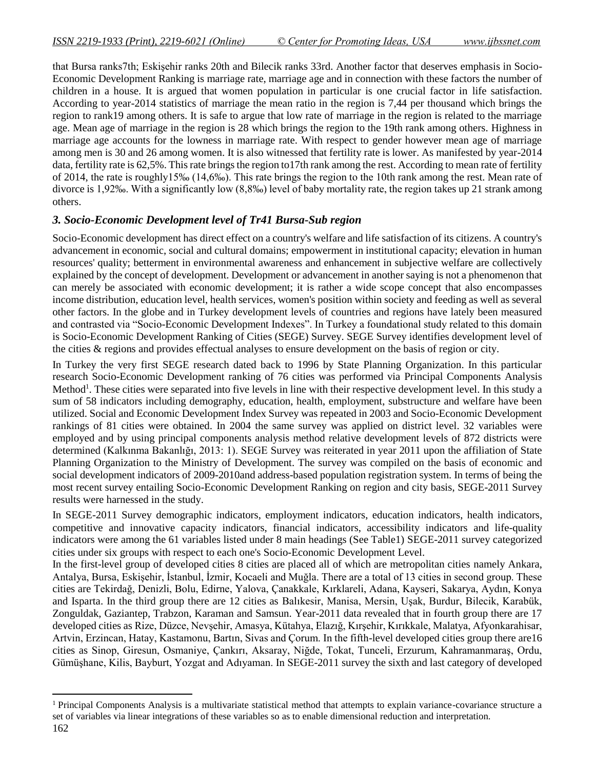that Bursa ranks7th; Eskişehir ranks 20th and Bilecik ranks 33rd. Another factor that deserves emphasis in Socio-Economic Development Ranking is marriage rate, marriage age and in connection with these factors the number of children in a house. It is argued that women population in particular is one crucial factor in life satisfaction. According to year-2014 statistics of marriage the mean ratio in the region is 7,44 per thousand which brings the region to rank19 among others. It is safe to argue that low rate of marriage in the region is related to the marriage age. Mean age of marriage in the region is 28 which brings the region to the 19th rank among others. Highness in marriage age accounts for the lowness in marriage rate. With respect to gender however mean age of marriage among men is 30 and 26 among women. It is also witnessed that fertility rate is lower. As manifested by year-2014 data, fertility rate is 62,5%. This rate brings the region to17th rank among the rest. According to mean rate of fertility of 2014, the rate is roughly15‰ (14,6‰). This rate brings the region to the 10th rank among the rest. Mean rate of divorce is 1,92‰. With a significantly low (8,8‰) level of baby mortality rate, the region takes up 21 strank among others.

## *3. Socio-Economic Development level of Tr41 Bursa-Sub region*

Socio-Economic development has direct effect on a country's welfare and life satisfaction of its citizens. A country's advancement in economic, social and cultural domains; empowerment in institutional capacity; elevation in human resources' quality; betterment in environmental awareness and enhancement in subjective welfare are collectively explained by the concept of development. Development or advancement in another saying is not a phenomenon that can merely be associated with economic development; it is rather a wide scope concept that also encompasses income distribution, education level, health services, women's position within society and feeding as well as several other factors. In the globe and in Turkey development levels of countries and regions have lately been measured and contrasted via "Socio-Economic Development Indexes". In Turkey a foundational study related to this domain is Socio-Economic Development Ranking of Cities (SEGE) Survey. SEGE Survey identifies development level of the cities & regions and provides effectual analyses to ensure development on the basis of region or city.

In Turkey the very first SEGE research dated back to 1996 by State Planning Organization. In this particular research Socio-Economic Development ranking of 76 cities was performed via Principal Components Analysis Method<sup>1</sup>. These cities were separated into five levels in line with their respective development level. In this study a sum of 58 indicators including demography, education, health, employment, substructure and welfare have been utilized. Social and Economic Development Index Survey was repeated in 2003 and Socio-Economic Development rankings of 81 cities were obtained. In 2004 the same survey was applied on district level. 32 variables were employed and by using principal components analysis method relative development levels of 872 districts were determined (Kalkınma Bakanlığı, 2013: 1). SEGE Survey was reiterated in year 2011 upon the affiliation of State Planning Organization to the Ministry of Development. The survey was compiled on the basis of economic and social development indicators of 2009-2010and address-based population registration system. In terms of being the most recent survey entailing Socio-Economic Development Ranking on region and city basis, SEGE-2011 Survey results were harnessed in the study.

In SEGE-2011 Survey demographic indicators, employment indicators, education indicators, health indicators, competitive and innovative capacity indicators, financial indicators, accessibility indicators and life-quality indicators were among the 61 variables listed under 8 main headings (See Table1) SEGE-2011 survey categorized cities under six groups with respect to each one's Socio-Economic Development Level.

In the first-level group of developed cities 8 cities are placed all of which are metropolitan cities namely Ankara, Antalya, Bursa, Eskişehir, İstanbul, İzmir, Kocaeli and Muğla. There are a total of 13 cities in second group. These cities are Tekirdağ, Denizli, Bolu, Edirne, Yalova, Çanakkale, Kırklareli, Adana, Kayseri, Sakarya, Aydın, Konya and Isparta. In the third group there are 12 cities as Balıkesir, Manisa, Mersin, Uşak, Burdur, Bilecik, Karabük, Zonguldak, Gaziantep, Trabzon, Karaman and Samsun. Year-2011 data revealed that in fourth group there are 17 developed cities as Rize, Düzce, Nevşehir, Amasya, Kütahya, Elazığ, Kırşehir, Kırıkkale, Malatya, Afyonkarahisar, Artvin, Erzincan, Hatay, Kastamonu, Bartın, Sivas and Çorum. In the fifth-level developed cities group there are16 cities as Sinop, Giresun, Osmaniye, Çankırı, Aksaray, Niğde, Tokat, Tunceli, Erzurum, Kahramanmaraş, Ordu, Gümüşhane, Kilis, Bayburt, Yozgat and Adıyaman. In SEGE-2011 survey the sixth and last category of developed

 $\overline{a}$ 

<sup>1</sup> Principal Components Analysis is a multivariate statistical method that attempts to explain variance-covariance structure a set of variables via linear integrations of these variables so as to enable dimensional reduction and interpretation.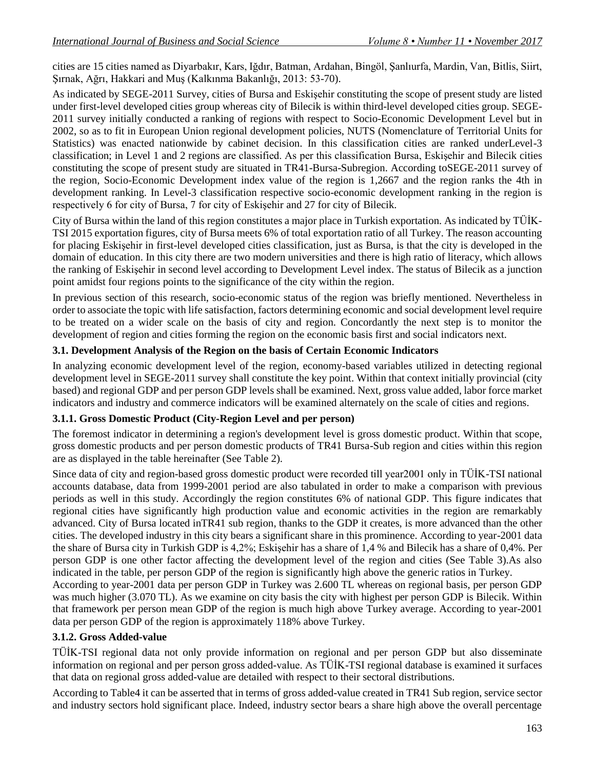cities are 15 cities named as Diyarbakır, Kars, Iğdır, Batman, Ardahan, Bingöl, Şanlıurfa, Mardin, Van, Bitlis, Siirt, Şırnak, Ağrı, Hakkari and Muş (Kalkınma Bakanlığı, 2013: 53-70).

As indicated by SEGE-2011 Survey, cities of Bursa and Eskişehir constituting the scope of present study are listed under first-level developed cities group whereas city of Bilecik is within third-level developed cities group. SEGE-2011 survey initially conducted a ranking of regions with respect to Socio-Economic Development Level but in 2002, so as to fit in European Union regional development policies, NUTS (Nomenclature of Territorial Units for Statistics) was enacted nationwide by cabinet decision. In this classification cities are ranked underLevel-3 classification; in Level 1 and 2 regions are classified. As per this classification Bursa, Eskişehir and Bilecik cities constituting the scope of present study are situated in TR41-Bursa-Subregion. According toSEGE-2011 survey of the region, Socio-Economic Development index value of the region is 1,2667 and the region ranks the 4th in development ranking. In Level-3 classification respective socio-economic development ranking in the region is respectively 6 for city of Bursa, 7 for city of Eskişehir and 27 for city of Bilecik.

City of Bursa within the land of this region constitutes a major place in Turkish exportation. As indicated by TÜİK-TSI 2015 exportation figures, city of Bursa meets 6% of total exportation ratio of all Turkey. The reason accounting for placing Eskişehir in first-level developed cities classification, just as Bursa, is that the city is developed in the domain of education. In this city there are two modern universities and there is high ratio of literacy, which allows the ranking of Eskişehir in second level according to Development Level index. The status of Bilecik as a junction point amidst four regions points to the significance of the city within the region.

In previous section of this research, socio-economic status of the region was briefly mentioned. Nevertheless in order to associate the topic with life satisfaction, factors determining economic and social development level require to be treated on a wider scale on the basis of city and region. Concordantly the next step is to monitor the development of region and cities forming the region on the economic basis first and social indicators next.

### **3.1. Development Analysis of the Region on the basis of Certain Economic Indicators**

In analyzing economic development level of the region, economy-based variables utilized in detecting regional development level in SEGE-2011 survey shall constitute the key point. Within that context initially provincial (city based) and regional GDP and per person GDP levels shall be examined. Next, gross value added, labor force market indicators and industry and commerce indicators will be examined alternately on the scale of cities and regions.

### **3.1.1. Gross Domestic Product (City-Region Level and per person)**

The foremost indicator in determining a region's development level is gross domestic product. Within that scope, gross domestic products and per person domestic products of TR41 Bursa-Sub region and cities within this region are as displayed in the table hereinafter (See Table 2).

Since data of city and region-based gross domestic product were recorded till year2001 only in TÜİK-TSI national accounts database, data from 1999-2001 period are also tabulated in order to make a comparison with previous periods as well in this study. Accordingly the region constitutes 6% of national GDP. This figure indicates that regional cities have significantly high production value and economic activities in the region are remarkably advanced. City of Bursa located inTR41 sub region, thanks to the GDP it creates, is more advanced than the other cities. The developed industry in this city bears a significant share in this prominence. According to year-2001 data the share of Bursa city in Turkish GDP is 4,2%; Eskişehir has a share of 1,4 % and Bilecik has a share of 0,4%. Per person GDP is one other factor affecting the development level of the region and cities (See Table 3).As also indicated in the table, per person GDP of the region is significantly high above the generic ratios in Turkey.

According to year-2001 data per person GDP in Turkey was 2.600 TL whereas on regional basis, per person GDP was much higher (3.070 TL). As we examine on city basis the city with highest per person GDP is Bilecik. Within that framework per person mean GDP of the region is much high above Turkey average. According to year-2001 data per person GDP of the region is approximately 118% above Turkey.

### **3.1.2. Gross Added-value**

TÜİK-TSI regional data not only provide information on regional and per person GDP but also disseminate information on regional and per person gross added-value. As TÜİK-TSI regional database is examined it surfaces that data on regional gross added-value are detailed with respect to their sectoral distributions.

According to Table4 it can be asserted that in terms of gross added-value created in TR41 Sub region, service sector and industry sectors hold significant place. Indeed, industry sector bears a share high above the overall percentage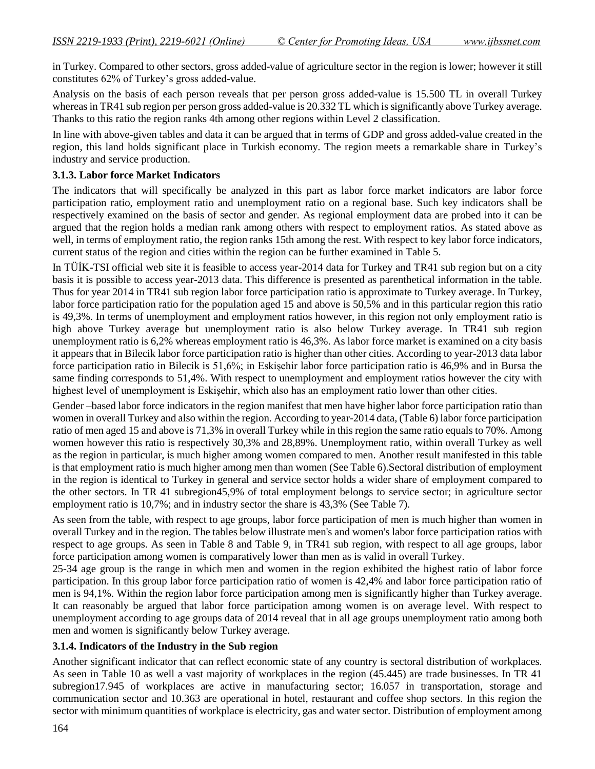in Turkey. Compared to other sectors, gross added-value of agriculture sector in the region is lower; however it still constitutes 62% of Turkey's gross added-value.

Analysis on the basis of each person reveals that per person gross added-value is 15.500 TL in overall Turkey whereas in TR41 sub region per person gross added-value is 20.332 TL which is significantly above Turkey average. Thanks to this ratio the region ranks 4th among other regions within Level 2 classification.

In line with above-given tables and data it can be argued that in terms of GDP and gross added-value created in the region, this land holds significant place in Turkish economy. The region meets a remarkable share in Turkey's industry and service production.

### **3.1.3. Labor force Market Indicators**

The indicators that will specifically be analyzed in this part as labor force market indicators are labor force participation ratio, employment ratio and unemployment ratio on a regional base. Such key indicators shall be respectively examined on the basis of sector and gender. As regional employment data are probed into it can be argued that the region holds a median rank among others with respect to employment ratios. As stated above as well, in terms of employment ratio, the region ranks 15th among the rest. With respect to key labor force indicators, current status of the region and cities within the region can be further examined in Table 5.

In TÜİK-TSI official web site it is feasible to access year-2014 data for Turkey and TR41 sub region but on a city basis it is possible to access year-2013 data. This difference is presented as parenthetical information in the table. Thus for year 2014 in TR41 sub region labor force participation ratio is approximate to Turkey average. In Turkey, labor force participation ratio for the population aged 15 and above is 50,5% and in this particular region this ratio is 49,3%. In terms of unemployment and employment ratios however, in this region not only employment ratio is high above Turkey average but unemployment ratio is also below Turkey average. In TR41 sub region unemployment ratio is 6,2% whereas employment ratio is 46,3%. As labor force market is examined on a city basis it appears that in Bilecik labor force participation ratio is higher than other cities. According to year-2013 data labor force participation ratio in Bilecik is 51,6%; in Eskişehir labor force participation ratio is 46,9% and in Bursa the same finding corresponds to 51,4%. With respect to unemployment and employment ratios however the city with highest level of unemployment is Eskişehir, which also has an employment ratio lower than other cities.

Gender –based labor force indicators in the region manifest that men have higher labor force participation ratio than women in overall Turkey and also within the region. According to year-2014 data, (Table 6) labor force participation ratio of men aged 15 and above is 71,3% in overall Turkey while in this region the same ratio equals to 70%. Among women however this ratio is respectively 30,3% and 28,89%. Unemployment ratio, within overall Turkey as well as the region in particular, is much higher among women compared to men. Another result manifested in this table is that employment ratio is much higher among men than women (See Table 6).Sectoral distribution of employment in the region is identical to Turkey in general and service sector holds a wider share of employment compared to the other sectors. In TR 41 subregion45,9% of total employment belongs to service sector; in agriculture sector employment ratio is 10,7%; and in industry sector the share is 43,3% (See Table 7).

As seen from the table, with respect to age groups, labor force participation of men is much higher than women in overall Turkey and in the region. The tables below illustrate men's and women's labor force participation ratios with respect to age groups. As seen in Table 8 and Table 9, in TR41 sub region, with respect to all age groups, labor force participation among women is comparatively lower than men as is valid in overall Turkey.

25-34 age group is the range in which men and women in the region exhibited the highest ratio of labor force participation. In this group labor force participation ratio of women is 42,4% and labor force participation ratio of men is 94,1%. Within the region labor force participation among men is significantly higher than Turkey average. It can reasonably be argued that labor force participation among women is on average level. With respect to unemployment according to age groups data of 2014 reveal that in all age groups unemployment ratio among both men and women is significantly below Turkey average.

### **3.1.4. Indicators of the Industry in the Sub region**

Another significant indicator that can reflect economic state of any country is sectoral distribution of workplaces. As seen in Table 10 as well a vast majority of workplaces in the region (45.445) are trade businesses. In TR 41 subregion17.945 of workplaces are active in manufacturing sector; 16.057 in transportation, storage and communication sector and 10.363 are operational in hotel, restaurant and coffee shop sectors. In this region the sector with minimum quantities of workplace is electricity, gas and water sector. Distribution of employment among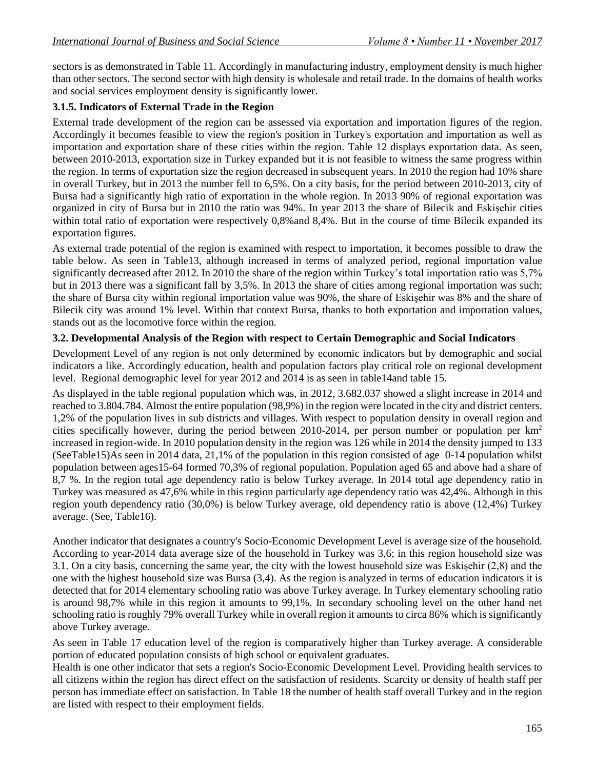sectors is as demonstrated in Table 11. Accordingly in manufacturing industry, employment density is much higher than other sectors. The second sector with high density is wholesale and retail trade. In the domains of health works and social services employment density is significantly lower.

## **3.1.5. Indicators of External Trade in the Region**

External trade development of the region can be assessed via exportation and importation figures of the region. Accordingly it becomes feasible to view the region's position in Turkey's exportation and importation as well as importation and exportation share of these cities within the region. Table 12 displays exportation data. As seen, between 2010-2013, exportation size in Turkey expanded but it is not feasible to witness the same progress within the region. In terms of exportation size the region decreased in subsequent years. In 2010 the region had 10% share in overall Turkey, but in 2013 the number fell to 6,5%. On a city basis, for the period between 2010-2013, city of Bursa had a significantly high ratio of exportation in the whole region. In 2013 90% of regional exportation was organized in city of Bursa but in 2010 the ratio was 94%. In year 2013 the share of Bilecik and Eskişehir cities within total ratio of exportation were respectively 0,8% and 8,4%. But in the course of time Bilecik expanded its exportation figures.

As external trade potential of the region is examined with respect to importation, it becomes possible to draw the table below. As seen in Table13, although increased in terms of analyzed period, regional importation value significantly decreased after 2012. In 2010 the share of the region within Turkey's total importation ratio was 5,7% but in 2013 there was a significant fall by 3,5%. In 2013 the share of cities among regional importation was such; the share of Bursa city within regional importation value was 90%, the share of Eskişehir was 8% and the share of Bilecik city was around 1% level. Within that context Bursa, thanks to both exportation and importation values, stands out as the locomotive force within the region.

### **3.2. Developmental Analysis of the Region with respect to Certain Demographic and Social Indicators**

Development Level of any region is not only determined by economic indicators but by demographic and social indicators a like. Accordingly education, health and population factors play critical role on regional development level. Regional demographic level for year 2012 and 2014 is as seen in table14and table 15.

As displayed in the table regional population which was, in 2012, 3.682.037 showed a slight increase in 2014 and reached to 3.804.784. Almost the entire population (98,9%) in the region were located in the city and district centers. 1,2% of the population lives in sub districts and villages. With respect to population density in overall region and cities specifically however, during the period between 2010-2014, per person number or population per  $km<sup>2</sup>$ increased in region-wide. In 2010 population density in the region was 126 while in 2014 the density jumped to 133 (SeeTable15)As seen in 2014 data, 21,1% of the population in this region consisted of age 0-14 population whilst population between ages15-64 formed 70,3% of regional population. Population aged 65 and above had a share of 8,7 %. In the region total age dependency ratio is below Turkey average. In 2014 total age dependency ratio in Turkey was measured as 47,6% while in this region particularly age dependency ratio was 42,4%. Although in this region youth dependency ratio (30,0%) is below Turkey average, old dependency ratio is above (12,4%) Turkey average. (See, Table16).

Another indicator that designates a country's Socio-Economic Development Level is average size of the household. According to year-2014 data average size of the household in Turkey was 3,6; in this region household size was 3.1. On a city basis, concerning the same year, the city with the lowest household size was Eskişehir (2,8) and the one with the highest household size was Bursa (3,4). As the region is analyzed in terms of education indicators it is detected that for 2014 elementary schooling ratio was above Turkey average. In Turkey elementary schooling ratio is around 98,7% while in this region it amounts to 99,1%. In secondary schooling level on the other hand net schooling ratio is roughly 79% overall Turkey while in overall region it amounts to circa 86% which is significantly above Turkey average.

As seen in Table 17 education level of the region is comparatively higher than Turkey average. A considerable portion of educated population consists of high school or equivalent graduates.

Health is one other indicator that sets a region's Socio-Economic Development Level. Providing health services to all citizens within the region has direct effect on the satisfaction of residents. Scarcity or density of health staff per person has immediate effect on satisfaction. In Table 18 the number of health staff overall Turkey and in the region are listed with respect to their employment fields.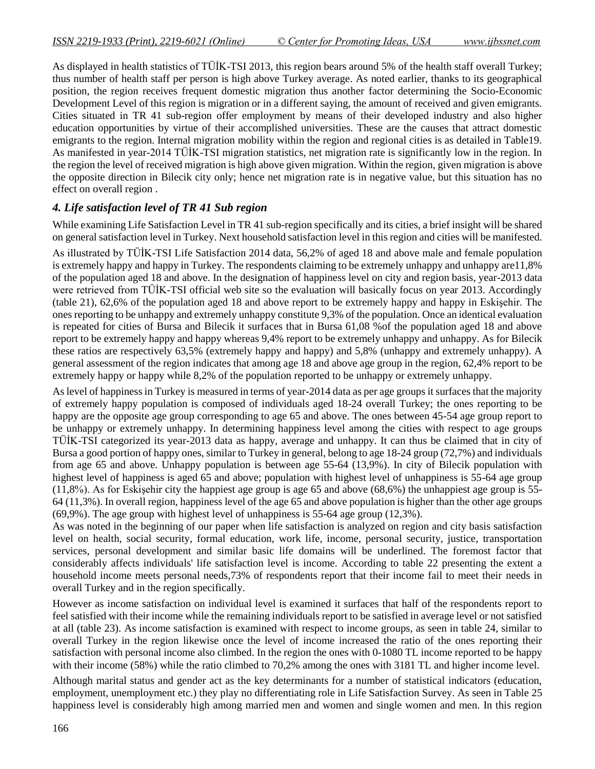As displayed in health statistics of TÜİK-TSI 2013, this region bears around 5% of the health staff overall Turkey; thus number of health staff per person is high above Turkey average. As noted earlier, thanks to its geographical position, the region receives frequent domestic migration thus another factor determining the Socio-Economic Development Level of this region is migration or in a different saying, the amount of received and given emigrants. Cities situated in TR 41 sub-region offer employment by means of their developed industry and also higher education opportunities by virtue of their accomplished universities. These are the causes that attract domestic emigrants to the region. Internal migration mobility within the region and regional cities is as detailed in Table19. As manifested in year-2014 TÜİK-TSI migration statistics, net migration rate is significantly low in the region. In the region the level of received migration is high above given migration. Within the region, given migration is above the opposite direction in Bilecik city only; hence net migration rate is in negative value, but this situation has no effect on overall region .

## *4. Life satisfaction level of TR 41 Sub region*

While examining Life Satisfaction Level in TR 41 sub-region specifically and its cities, a brief insight will be shared on general satisfaction level in Turkey. Next household satisfaction level in this region and cities will be manifested. As illustrated by TÜİK-TSI Life Satisfaction 2014 data, 56,2% of aged 18 and above male and female population is extremely happy and happy in Turkey. The respondents claiming to be extremely unhappy and unhappy are11,8% of the population aged 18 and above. In the designation of happiness level on city and region basis, year-2013 data were retrieved from TÜİK-TSI official web site so the evaluation will basically focus on year 2013. Accordingly (table 21), 62,6% of the population aged 18 and above report to be extremely happy and happy in Eskişehir. The ones reporting to be unhappy and extremely unhappy constitute 9,3% of the population. Once an identical evaluation is repeated for cities of Bursa and Bilecik it surfaces that in Bursa 61,08 %of the population aged 18 and above report to be extremely happy and happy whereas 9,4% report to be extremely unhappy and unhappy. As for Bilecik these ratios are respectively 63,5% (extremely happy and happy) and 5,8% (unhappy and extremely unhappy). A general assessment of the region indicates that among age 18 and above age group in the region, 62,4% report to be extremely happy or happy while 8,2% of the population reported to be unhappy or extremely unhappy.

As level of happiness in Turkey is measured in terms of year-2014 data as per age groups it surfaces that the majority of extremely happy population is composed of individuals aged 18-24 overall Turkey; the ones reporting to be happy are the opposite age group corresponding to age 65 and above. The ones between 45-54 age group report to be unhappy or extremely unhappy. In determining happiness level among the cities with respect to age groups TÜİK-TSI categorized its year-2013 data as happy, average and unhappy. It can thus be claimed that in city of Bursa a good portion of happy ones, similar to Turkey in general, belong to age 18-24 group (72,7%) and individuals from age 65 and above. Unhappy population is between age 55-64 (13,9%). In city of Bilecik population with highest level of happiness is aged 65 and above; population with highest level of unhappiness is 55-64 age group (11,8%). As for Eskişehir city the happiest age group is age 65 and above (68,6%) the unhappiest age group is 55- 64 (11,3%). In overall region, happiness level of the age 65 and above population is higher than the other age groups (69,9%). The age group with highest level of unhappiness is 55-64 age group (12,3%).

As was noted in the beginning of our paper when life satisfaction is analyzed on region and city basis satisfaction level on health, social security, formal education, work life, income, personal security, justice, transportation services, personal development and similar basic life domains will be underlined. The foremost factor that considerably affects individuals' life satisfaction level is income. According to table 22 presenting the extent a household income meets personal needs,73% of respondents report that their income fail to meet their needs in overall Turkey and in the region specifically.

However as income satisfaction on individual level is examined it surfaces that half of the respondents report to feel satisfied with their income while the remaining individuals report to be satisfied in average level or not satisfied at all (table 23). As income satisfaction is examined with respect to income groups, as seen in table 24, similar to overall Turkey in the region likewise once the level of income increased the ratio of the ones reporting their satisfaction with personal income also climbed. In the region the ones with 0-1080 TL income reported to be happy with their income (58%) while the ratio climbed to 70,2% among the ones with 3181 TL and higher income level.

Although marital status and gender act as the key determinants for a number of statistical indicators (education, employment, unemployment etc.) they play no differentiating role in Life Satisfaction Survey. As seen in Table 25 happiness level is considerably high among married men and women and single women and men. In this region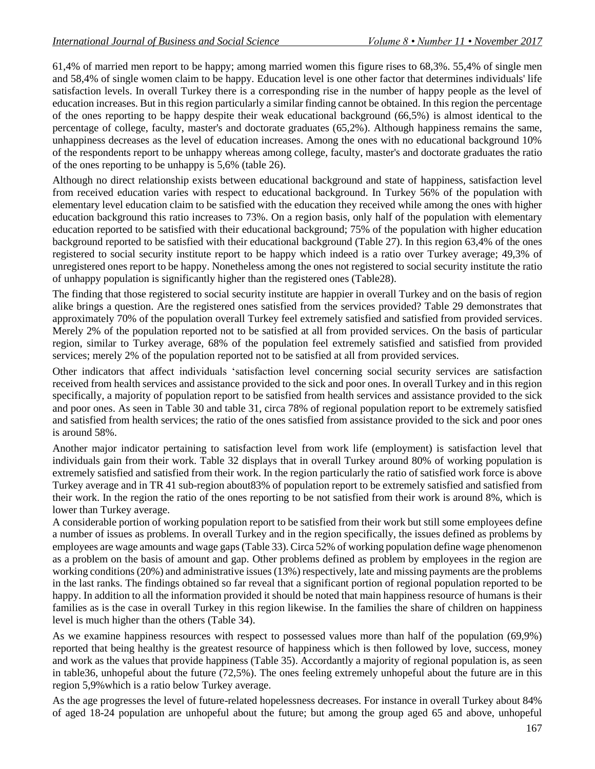61,4% of married men report to be happy; among married women this figure rises to 68,3%. 55,4% of single men and 58,4% of single women claim to be happy. Education level is one other factor that determines individuals' life satisfaction levels. In overall Turkey there is a corresponding rise in the number of happy people as the level of education increases. But in this region particularly a similar finding cannot be obtained. In this region the percentage of the ones reporting to be happy despite their weak educational background (66,5%) is almost identical to the percentage of college, faculty, master's and doctorate graduates (65,2%). Although happiness remains the same, unhappiness decreases as the level of education increases. Among the ones with no educational background 10% of the respondents report to be unhappy whereas among college, faculty, master's and doctorate graduates the ratio of the ones reporting to be unhappy is 5,6% (table 26).

Although no direct relationship exists between educational background and state of happiness, satisfaction level from received education varies with respect to educational background. In Turkey 56% of the population with elementary level education claim to be satisfied with the education they received while among the ones with higher education background this ratio increases to 73%. On a region basis, only half of the population with elementary education reported to be satisfied with their educational background; 75% of the population with higher education background reported to be satisfied with their educational background (Table 27). In this region 63,4% of the ones registered to social security institute report to be happy which indeed is a ratio over Turkey average; 49,3% of unregistered ones report to be happy. Nonetheless among the ones not registered to social security institute the ratio of unhappy population is significantly higher than the registered ones (Table28).

The finding that those registered to social security institute are happier in overall Turkey and on the basis of region alike brings a question. Are the registered ones satisfied from the services provided? Table 29 demonstrates that approximately 70% of the population overall Turkey feel extremely satisfied and satisfied from provided services. Merely 2% of the population reported not to be satisfied at all from provided services. On the basis of particular region, similar to Turkey average, 68% of the population feel extremely satisfied and satisfied from provided services; merely 2% of the population reported not to be satisfied at all from provided services.

Other indicators that affect individuals 'satisfaction level concerning social security services are satisfaction received from health services and assistance provided to the sick and poor ones. In overall Turkey and in this region specifically, a majority of population report to be satisfied from health services and assistance provided to the sick and poor ones. As seen in Table 30 and table 31, circa 78% of regional population report to be extremely satisfied and satisfied from health services; the ratio of the ones satisfied from assistance provided to the sick and poor ones is around 58%.

Another major indicator pertaining to satisfaction level from work life (employment) is satisfaction level that individuals gain from their work. Table 32 displays that in overall Turkey around 80% of working population is extremely satisfied and satisfied from their work. In the region particularly the ratio of satisfied work force is above Turkey average and in TR 41 sub-region about83% of population report to be extremely satisfied and satisfied from their work. In the region the ratio of the ones reporting to be not satisfied from their work is around 8%, which is lower than Turkey average.

A considerable portion of working population report to be satisfied from their work but still some employees define a number of issues as problems. In overall Turkey and in the region specifically, the issues defined as problems by employees are wage amounts and wage gaps (Table 33). Circa 52% of working population define wage phenomenon as a problem on the basis of amount and gap. Other problems defined as problem by employees in the region are working conditions(20%) and administrative issues (13%) respectively, late and missing payments are the problems in the last ranks. The findings obtained so far reveal that a significant portion of regional population reported to be happy. In addition to all the information provided it should be noted that main happiness resource of humans is their families as is the case in overall Turkey in this region likewise. In the families the share of children on happiness level is much higher than the others (Table 34).

As we examine happiness resources with respect to possessed values more than half of the population (69,9%) reported that being healthy is the greatest resource of happiness which is then followed by love, success, money and work as the values that provide happiness (Table 35). Accordantly a majority of regional population is, as seen in table36, unhopeful about the future (72,5%). The ones feeling extremely unhopeful about the future are in this region 5,9%which is a ratio below Turkey average.

As the age progresses the level of future-related hopelessness decreases. For instance in overall Turkey about 84% of aged 18-24 population are unhopeful about the future; but among the group aged 65 and above, unhopeful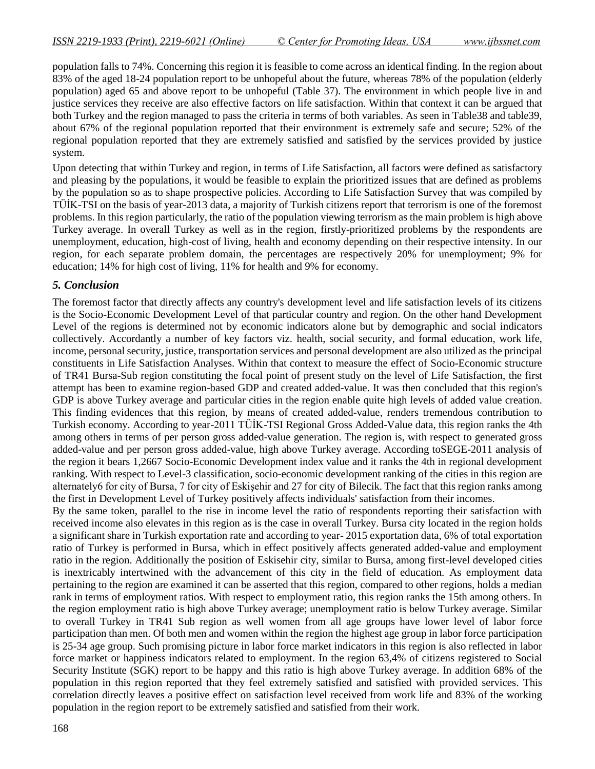population falls to 74%. Concerning this region it is feasible to come across an identical finding. In the region about 83% of the aged 18-24 population report to be unhopeful about the future, whereas 78% of the population (elderly population) aged 65 and above report to be unhopeful (Table 37). The environment in which people live in and justice services they receive are also effective factors on life satisfaction. Within that context it can be argued that both Turkey and the region managed to pass the criteria in terms of both variables. As seen in Table38 and table39, about 67% of the regional population reported that their environment is extremely safe and secure; 52% of the regional population reported that they are extremely satisfied and satisfied by the services provided by justice system.

Upon detecting that within Turkey and region, in terms of Life Satisfaction, all factors were defined as satisfactory and pleasing by the populations, it would be feasible to explain the prioritized issues that are defined as problems by the population so as to shape prospective policies. According to Life Satisfaction Survey that was compiled by TÜİK-TSI on the basis of year-2013 data, a majority of Turkish citizens report that terrorism is one of the foremost problems. In this region particularly, the ratio of the population viewing terrorism as the main problem is high above Turkey average. In overall Turkey as well as in the region, firstly-prioritized problems by the respondents are unemployment, education, high-cost of living, health and economy depending on their respective intensity. In our region, for each separate problem domain, the percentages are respectively 20% for unemployment; 9% for education; 14% for high cost of living, 11% for health and 9% for economy.

### *5. Conclusion*

The foremost factor that directly affects any country's development level and life satisfaction levels of its citizens is the Socio-Economic Development Level of that particular country and region. On the other hand Development Level of the regions is determined not by economic indicators alone but by demographic and social indicators collectively. Accordantly a number of key factors viz. health, social security, and formal education, work life, income, personal security, justice, transportation services and personal development are also utilized as the principal constituents in Life Satisfaction Analyses. Within that context to measure the effect of Socio-Economic structure of TR41 Bursa-Sub region constituting the focal point of present study on the level of Life Satisfaction, the first attempt has been to examine region-based GDP and created added-value. It was then concluded that this region's GDP is above Turkey average and particular cities in the region enable quite high levels of added value creation. This finding evidences that this region, by means of created added-value, renders tremendous contribution to Turkish economy. According to year-2011 TÜİK-TSI Regional Gross Added-Value data, this region ranks the 4th among others in terms of per person gross added-value generation. The region is, with respect to generated gross added-value and per person gross added-value, high above Turkey average. According toSEGE-2011 analysis of the region it bears 1,2667 Socio-Economic Development index value and it ranks the 4th in regional development ranking. With respect to Level-3 classification, socio-economic development ranking of the cities in this region are alternately6 for city of Bursa, 7 for city of Eskişehir and 27 for city of Bilecik. The fact that this region ranks among the first in Development Level of Turkey positively affects individuals' satisfaction from their incomes.

By the same token, parallel to the rise in income level the ratio of respondents reporting their satisfaction with received income also elevates in this region as is the case in overall Turkey. Bursa city located in the region holds a significant share in Turkish exportation rate and according to year- 2015 exportation data, 6% of total exportation ratio of Turkey is performed in Bursa, which in effect positively affects generated added-value and employment ratio in the region. Additionally the position of Eskisehir city, similar to Bursa, among first-level developed cities is inextricably intertwined with the advancement of this city in the field of education. As employment data pertaining to the region are examined it can be asserted that this region, compared to other regions, holds a median rank in terms of employment ratios. With respect to employment ratio, this region ranks the 15th among others. In the region employment ratio is high above Turkey average; unemployment ratio is below Turkey average. Similar to overall Turkey in TR41 Sub region as well women from all age groups have lower level of labor force participation than men. Of both men and women within the region the highest age group in labor force participation is 25-34 age group. Such promising picture in labor force market indicators in this region is also reflected in labor force market or happiness indicators related to employment. In the region 63,4% of citizens registered to Social Security Institute (SGK) report to be happy and this ratio is high above Turkey average. In addition 68% of the population in this region reported that they feel extremely satisfied and satisfied with provided services. This correlation directly leaves a positive effect on satisfaction level received from work life and 83% of the working population in the region report to be extremely satisfied and satisfied from their work.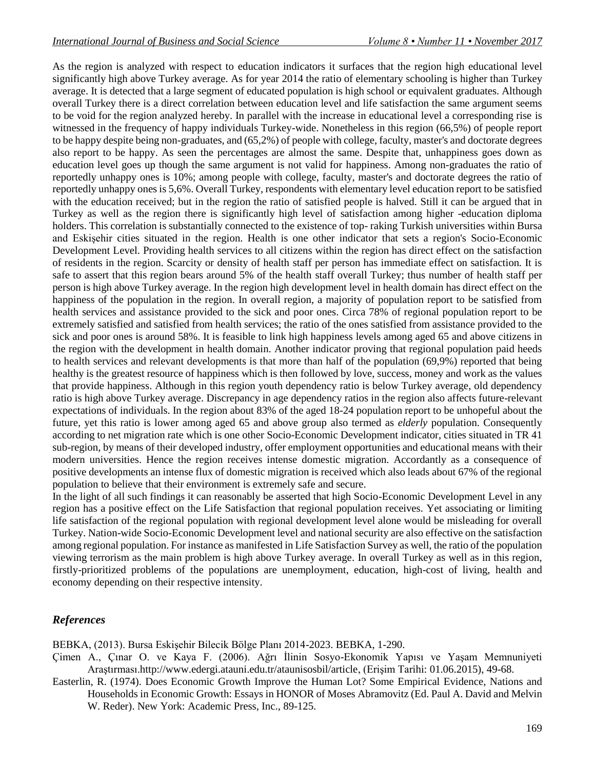As the region is analyzed with respect to education indicators it surfaces that the region high educational level significantly high above Turkey average. As for year 2014 the ratio of elementary schooling is higher than Turkey average. It is detected that a large segment of educated population is high school or equivalent graduates. Although overall Turkey there is a direct correlation between education level and life satisfaction the same argument seems to be void for the region analyzed hereby. In parallel with the increase in educational level a corresponding rise is witnessed in the frequency of happy individuals Turkey-wide. Nonetheless in this region (66,5%) of people report to be happy despite being non-graduates, and (65,2%) of people with college, faculty, master's and doctorate degrees also report to be happy. As seen the percentages are almost the same. Despite that, unhappiness goes down as education level goes up though the same argument is not valid for happiness. Among non-graduates the ratio of reportedly unhappy ones is 10%; among people with college, faculty, master's and doctorate degrees the ratio of reportedly unhappy ones is 5,6%. Overall Turkey, respondents with elementary level education report to be satisfied with the education received; but in the region the ratio of satisfied people is halved. Still it can be argued that in Turkey as well as the region there is significantly high level of satisfaction among higher -education diploma holders. This correlation is substantially connected to the existence of top- raking Turkish universities within Bursa and Eskişehir cities situated in the region. Health is one other indicator that sets a region's Socio-Economic Development Level. Providing health services to all citizens within the region has direct effect on the satisfaction of residents in the region. Scarcity or density of health staff per person has immediate effect on satisfaction. It is safe to assert that this region bears around 5% of the health staff overall Turkey; thus number of health staff per person is high above Turkey average. In the region high development level in health domain has direct effect on the happiness of the population in the region. In overall region, a majority of population report to be satisfied from health services and assistance provided to the sick and poor ones. Circa 78% of regional population report to be extremely satisfied and satisfied from health services; the ratio of the ones satisfied from assistance provided to the sick and poor ones is around 58%. It is feasible to link high happiness levels among aged 65 and above citizens in the region with the development in health domain. Another indicator proving that regional population paid heeds to health services and relevant developments is that more than half of the population (69,9%) reported that being healthy is the greatest resource of happiness which is then followed by love, success, money and work as the values that provide happiness. Although in this region youth dependency ratio is below Turkey average, old dependency ratio is high above Turkey average. Discrepancy in age dependency ratios in the region also affects future-relevant expectations of individuals. In the region about 83% of the aged 18-24 population report to be unhopeful about the future, yet this ratio is lower among aged 65 and above group also termed as *elderly* population. Consequently according to net migration rate which is one other Socio-Economic Development indicator, cities situated in TR 41 sub-region, by means of their developed industry, offer employment opportunities and educational means with their modern universities. Hence the region receives intense domestic migration. Accordantly as a consequence of positive developments an intense flux of domestic migration is received which also leads about 67% of the regional population to believe that their environment is extremely safe and secure.

In the light of all such findings it can reasonably be asserted that high Socio-Economic Development Level in any region has a positive effect on the Life Satisfaction that regional population receives. Yet associating or limiting life satisfaction of the regional population with regional development level alone would be misleading for overall Turkey. Nation-wide Socio-Economic Development level and national security are also effective on the satisfaction among regional population. For instance as manifested in Life Satisfaction Survey as well, the ratio of the population viewing terrorism as the main problem is high above Turkey average. In overall Turkey as well as in this region, firstly-prioritized problems of the populations are unemployment, education, high-cost of living, health and economy depending on their respective intensity.

## *References*

BEBKA, (2013). Bursa Eskişehir Bilecik Bölge Planı 2014-2023. BEBKA, 1-290.

- Çimen A., Çınar O. ve Kaya F. (2006). Ağrı İlinin Sosyo-Ekonomik Yapısı ve Yaşam Memnuniyeti Araştırması[.http://www.edergi.atauni.edu.tr/ataunisosbil/article,](http://www.edergi.atauni.edu.tr/ataunisosbil/article) (Erişim Tarihi: 01.06.2015), 49-68.
- Easterlin, R. (1974). Does Economic Growth Improve the Human Lot? Some Empirical Evidence, Nations and Households in Economic Growth: Essays in HONOR of Moses Abramovitz (Ed. Paul A. David and Melvin W. Reder). New York: Academic Press, Inc., 89-125.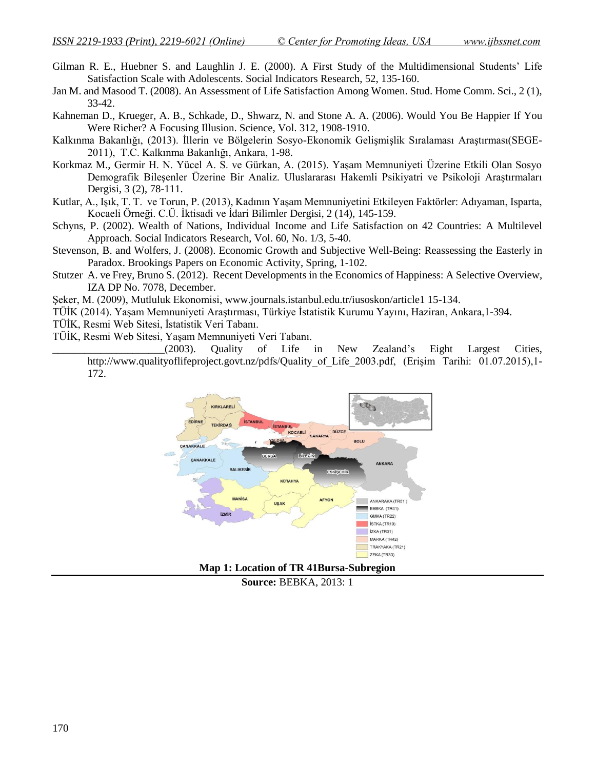- Gilman R. E., Huebner S. and Laughlin J. E. (2000). A First Study of the Multidimensional Students' Life Satisfaction Scale with Adolescents. Social Indicators Research, 52, 135-160.
- Jan M. and Masood T. (2008). An Assessment of Life Satisfaction Among Women. Stud. Home Comm. Sci., 2 (1), 33-42.
- Kahneman D., Krueger, A. B., Schkade, D., Shwarz, N. and Stone A. A. (2006). Would You Be Happier If You Were Richer? A Focusing Illusion. Science, Vol. 312, 1908-1910.
- Kalkınma Bakanlığı, (2013). İllerin ve Bölgelerin Sosyo-Ekonomik Gelişmişlik Sıralaması Araştırması(SEGE-2011), T.C. Kalkınma Bakanlığı, Ankara, 1-98.
- Korkmaz M., Germir H. N. Yücel A. S. ve Gürkan, A. (2015). Yaşam Memnuniyeti Üzerine Etkili Olan Sosyo Demografik Bileşenler Üzerine Bir Analiz. Uluslararası Hakemli Psikiyatri ve Psikoloji Araştırmaları Dergisi, 3 (2), 78-111.
- Kutlar, A., Işık, T. T. ve Torun, P. (2013), Kadının Yaşam Memnuniyetini Etkileyen Faktörler: Adıyaman, Isparta, Kocaeli Örneği. C.Ü. İktisadi ve İdari Bilimler Dergisi, 2 (14), 145-159.
- Schyns, P. (2002). Wealth of Nations, Individual Income and Life Satisfaction on 42 Countries: A Multilevel Approach. Social Indicators Research, Vol. 60, No. 1/3, 5-40.
- Stevenson, B. and Wolfers, J. (2008). Economic Growth and Subjective Well-Being: Reassessing the Easterly in Paradox. Brookings Papers on Economic Activity, Spring, 1-102.
- Stutzer A. ve Frey, Bruno S. (2012). Recent Developments in the Economics of Happiness: A Selective Overview, IZA DP No. 7078, December.

Şeker, M. (2009), Mutluluk Ekonomisi, [www.journals.istanbul.edu.tr/iusoskon/article1 15-134.](http://www.journals.istanbul.edu.tr/iusoskon/article1%2015-134)

- TÜİK (2014). Yaşam Memnuniyeti Araştırması, Türkiye İstatistik Kurumu Yayını, Haziran, Ankara,1-394.
- TÜİK, Resmi Web Sitesi, İstatistik Veri Tabanı.
- TÜİK, Resmi Web Sitesi, Yaşam Memnuniyeti Veri Tabanı.

\_\_\_\_\_\_\_\_\_\_\_\_\_\_\_\_\_\_\_\_\_(2003). Quality of Life in New Zealand's Eight Largest Cities, http://www.qualityoflifeproject.govt.nz/pdfs/Quality of Life 2003.pdf, (Erisim Tarihi: 01.07.2015),1-172.



**Source:** BEBKA, 2013: 1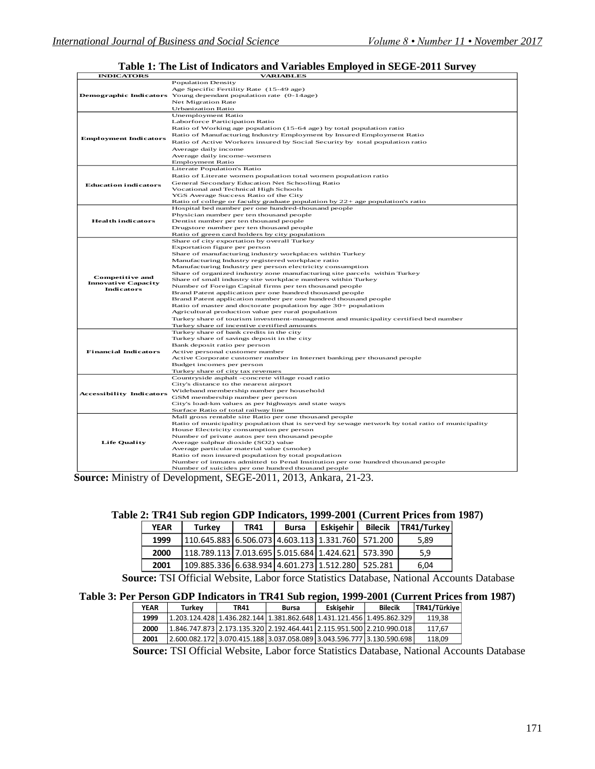$\overline{a}$ 

# **Table 1: The List of Indicators and Variables Employed in SEGE-2011 Survey INDICATORS VARIABLES**

| INDICATORS                                                                | VARIADLES                                                                                                                                                                                                                                                                                                                                                                                                                                                                                                                                                                                                                                                                                                                                                                                                                                                       |
|---------------------------------------------------------------------------|-----------------------------------------------------------------------------------------------------------------------------------------------------------------------------------------------------------------------------------------------------------------------------------------------------------------------------------------------------------------------------------------------------------------------------------------------------------------------------------------------------------------------------------------------------------------------------------------------------------------------------------------------------------------------------------------------------------------------------------------------------------------------------------------------------------------------------------------------------------------|
|                                                                           | <b>Population Density</b><br>Age Specific Fertility Rate (15-49 age)<br><b>Demographic Indicators</b> Young dependant population rate (0-14age)<br><b>Net Migration Rate</b><br><b>Urbanization Ratio</b>                                                                                                                                                                                                                                                                                                                                                                                                                                                                                                                                                                                                                                                       |
| <b>Employment Indicators</b>                                              | <b>Unemployment Ratio</b><br>Laborforce Participation Ratio<br>Ratio of Working age population (15-64 age) by total population ratio<br>Ratio of Manufacturing Industry Employment by Insured Employment Ratio<br>Ratio of Active Workers insured by Social Security by total population ratio<br>Average daily income<br>Average daily income-women<br><b>Employment Ratio</b>                                                                                                                                                                                                                                                                                                                                                                                                                                                                                 |
| <b>Education indicators</b>                                               | Literate Population's Ratio<br>Ratio of Literate women population total women population ratio<br>General Secondary Education Net Schooling Ratio<br>Vocational and Technical High Schools<br>YGS Average Success Ratio of the City<br>Ratio of college or faculty graduate population by 22+ age population's ratio                                                                                                                                                                                                                                                                                                                                                                                                                                                                                                                                            |
| <b>Health indicators</b>                                                  | Hospital bed number per one hundred-thousand people<br>Physician number per ten thousand people<br>Dentist number per ten thousand people<br>Drugstore number per ten thousand people<br>Ratio of green card holders by city population                                                                                                                                                                                                                                                                                                                                                                                                                                                                                                                                                                                                                         |
| <b>Competitive and</b><br><b>Innovative Capacity</b><br><b>Indicators</b> | Share of city exportation by overall Turkey<br>Exportation figure per person<br>Share of manufacturing industry workplaces within Turkey<br>Manufacturing Industry registered workplace ratio<br>Manufacturing Industry per person electricity consumption<br>Share of organized industry zone manufacturing site parcels within Turkey<br>Share of small industry site workplace numbers within Turkey<br>Number of Foreign Capital firms per ten thousand people<br>Brand Patent application per one hundred thousand people<br>Brand Patent application number per one hundred thousand people<br>Ratio of master and doctorate population by age 30+ population<br>Agricultural production value per rural population<br>Turkey share of tourism investment-management and municipality certified bed number<br>Turkey share of incentive certified amounts |
| <b>Financial Indicators</b>                                               | Turkey share of bank credits in the city<br>Turkey share of savings deposit in the city<br>Bank deposit ratio per person<br>Active personal customer number<br>Active Corporate customer number in Internet banking per thousand people<br>Budget incomes per person<br>Turkey share of city tax revenues                                                                                                                                                                                                                                                                                                                                                                                                                                                                                                                                                       |
| <b>Accessibility Indicators</b>                                           | Countryside asphalt -concrete village road ratio<br>City's distance to the nearest airport<br>Wideband membership number per household<br>GSM membership number per person<br>City's load-km values as per highways and state ways<br>Surface Ratio of total railway line                                                                                                                                                                                                                                                                                                                                                                                                                                                                                                                                                                                       |
| <b>Life Quality</b>                                                       | Mall gross rentable site Ratio per one thousand people<br>Ratio of municipality population that is served by sewage network by total ratio of municipality<br>House Electricity consumption per person<br>Number of private autos per ten thousand people<br>Average sulphur dioxide (SO2) value<br>Average particular material value (smoke)<br>Ratio of non insured population by total population<br>Number of inmates admitted to Penal Institution per one hundred thousand people<br>Number of suicides per one hundred thousand people                                                                                                                                                                                                                                                                                                                   |

**Source:** Ministry of Development, SEGE-2011, 2013, Ankara, 21-23.

| <b>YEAR</b> | Turkev                                                    | <b>TR41</b> | <b>Bursa</b> | <b>Eskisehir</b> | <b>Bilecik</b> | TR41/Turkey |
|-------------|-----------------------------------------------------------|-------------|--------------|------------------|----------------|-------------|
| 1999        | 110.645.883   6.506.073   4.603.113   1.331.760   571.200 |             |              |                  |                | 5.89        |
| 2000        | 118.789.113   7.013.695   5.015.684   1.424.621   573.390 |             |              |                  |                | 5,9         |
| 2001        | 109.885.336   6.638.934   4.601.273   1.512.280           |             |              |                  | 525.281        | 6.04        |

 **Source:** TSI Official Website, Labor force Statistics Database, National Accounts Database

#### **Table 3: Per Person GDP Indicators in TR41 Sub region, 1999-2001 (Current Prices from 1987)**

| <b>YEAR</b> | Turkev | <b>TR41</b>                                                                   | Bursa | Eskisehir | <b>Bilecik</b> | TR41/Türkiye |
|-------------|--------|-------------------------------------------------------------------------------|-------|-----------|----------------|--------------|
| 1999        |        | 1.203.124.428  1.436.282.144  1.381.862.648  1.431.121.456  1.495.862.329     |       |           |                | 119,38       |
| 2000        |        | 1.846.747.873   2.173.135.320   2.192.464.441   2.115.951.500   2.210.990.018 |       |           |                | 117,67       |
| 2001        |        | 2.600.082.172   3.070.415.188   3.037.058.089   3.043.596.777   3.130.590.698 |       |           |                | 118,09       |
|             |        |                                                                               |       |           |                |              |

 **Source:** TSI Official Website, Labor force Statistics Database, National Accounts Database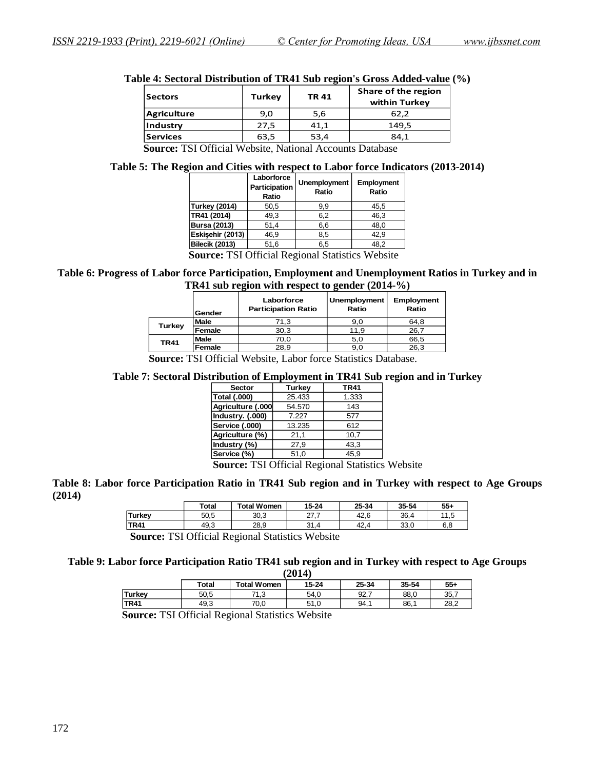| <b>Sectors</b>     | <b>Turkey</b> | <b>TR41</b> | Share of the region<br>within Turkey |
|--------------------|---------------|-------------|--------------------------------------|
| <b>Agriculture</b> | 9,0           | 5,6         | 62,2                                 |
| Industry           | 27,5          | 41,1        | 149,5                                |
| <b>Services</b>    | 63,5          | 53,4        | 84.1                                 |

|  | Table 4: Sectoral Distribution of TR41 Sub region's Gross Added-value (%) |  |  |  |  |
|--|---------------------------------------------------------------------------|--|--|--|--|
|  |                                                                           |  |  |  |  |

 **Source:** TSI Official Website, National Accounts Database

#### **Table 5: The Region and Cities with respect to Labor force Indicators (2013-2014)**

|                       | Laborforce<br>Participation<br>Ratio | Unemployment<br>Ratio | Employment<br>Ratio |
|-----------------------|--------------------------------------|-----------------------|---------------------|
| <b>Turkey (2014)</b>  | 50,5                                 | 9,9                   | 45,5                |
| TR41 (2014)           | 49.3                                 | 6,2                   | 46.3                |
| <b>Bursa (2013)</b>   | 51,4                                 | 6,6                   | 48.0                |
| Eskisehir (2013)      | 46.9                                 | 8.5                   | 42.9                |
| <b>Bilecik (2013)</b> | 51,6                                 | 6,5                   | 48,2                |
| $\sim$<br>max         | $\sim$ contracts<br>$\sqrt{ }$       | $\sim$ $\sim$ $\sim$  | <b>TTT</b> 1        |

 **Source:** TSI Official Regional Statistics Website

#### **Table 6: Progress of Labor force Participation, Employment and Unemployment Ratios in Turkey and in TR41 sub region with respect to gender (2014-%)**

|               | Gender      | Laborforce<br><b>Participation Ratio</b> | Unemployment<br>Ratio | Employment<br>Ratio |
|---------------|-------------|------------------------------------------|-----------------------|---------------------|
| <b>Turkey</b> | <b>Male</b> | 71,3                                     | 9,0                   | 64,8                |
|               | Female      | 30,3                                     | 11.9                  | 26,7                |
| <b>TR41</b>   | <b>Male</b> | 70,0                                     | 5,0                   | 66,5                |
|               | Female      | 28.9                                     | 9,0                   | 26,3                |

 **Source:** TSI Official Website, Labor force Statistics Database.

#### **Table 7: Sectoral Distribution of Employment in TR41 Sub region and in Turkey**

| <b>Sector</b>       | Turkey | <b>TR41</b> |  |
|---------------------|--------|-------------|--|
| <b>Total (.000)</b> | 25.433 | 1.333       |  |
| Agriculture (.000   | 54.570 | 143         |  |
| Industry. (.000)    | 7.227  | 577         |  |
| Service (.000)      | 13.235 | 612         |  |
| Agriculture (%)     | 21.1   | 10.7        |  |
| Industry (%)        | 27,9   | 43,3        |  |
| Service (%)         | 51,0   | 45,9        |  |

 **Source:** TSI Official Regional Statistics Website

#### **Table 8: Labor force Participation Ratio in TR41 Sub region and in Turkey with respect to Age Groups (2014)**

|         | <b>Total</b> | <b>Total Women</b> | $15 - 24$     | 25-34 | 35-54 | $55 -$       |
|---------|--------------|--------------------|---------------|-------|-------|--------------|
| 'Turkey | 50.5         | 30,3               | ົ<br><u>_</u> | 42.6  | 36.4  | 11 F<br>ں, ا |
| TR41    | 49,3         | 28.9               | 24<br>- 1.4   | 42.4  | 33,0  | 6.8          |

 **Source:** TSI Official Regional Statistics Website

#### **Table 9: Labor force Participation Ratio TR41 sub region and in Turkey with respect to Age Groups (2014)**

|             | 14014) |                    |           |       |       |       |  |
|-------------|--------|--------------------|-----------|-------|-------|-------|--|
|             | Total  | <b>Total Women</b> | $15 - 24$ | 25-34 | 35-54 | $55+$ |  |
| Turkey      | 50,5   | 71 2<br>د. ا       | 54.0      | 92,7  | 88,0  | 35,7  |  |
| <b>TR41</b> | 49.3   | 70.0               | 51.0      | 94.1  | 86.   | 28.2  |  |

 **Source:** TSI Official Regional Statistics Website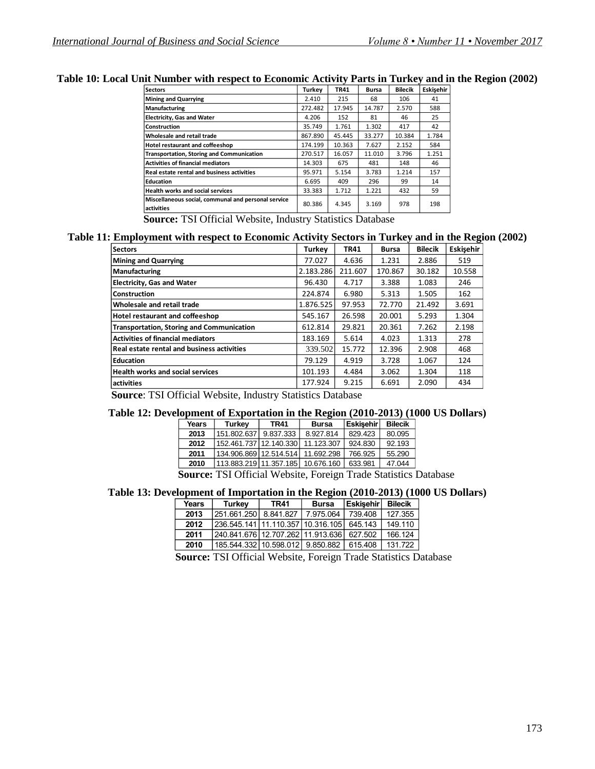| <b>Sectors</b>                                                    | Turkev  | <b>TR41</b> | <b>Bursa</b> | <b>Bilecik</b> | Eskisehir |
|-------------------------------------------------------------------|---------|-------------|--------------|----------------|-----------|
| <b>Mining and Quarrying</b>                                       | 2.410   | 215         | 68           | 106            | 41        |
| <b>Manufacturing</b>                                              | 272.482 | 17.945      | 14.787       | 2.570          | 588       |
| <b>Electricity, Gas and Water</b>                                 | 4.206   | 152         | 81           | 46             | 25        |
| Construction                                                      | 35.749  | 1.761       | 1.302        | 417            | 42        |
| Wholesale and retail trade                                        | 867.890 | 45.445      | 33.277       | 10.384         | 1.784     |
| Hotel restaurant and coffeeshop                                   | 174.199 | 10.363      | 7.627        | 2.152          | 584       |
| <b>Transportation, Storing and Communication</b>                  | 270.517 | 16.057      | 11.010       | 3.796          | 1.251     |
| <b>Activities of financial mediators</b>                          | 14.303  | 675         | 481          | 148            | 46        |
| <b>Real estate rental and business activities</b>                 | 95.971  | 5.154       | 3.783        | 1.214          | 157       |
| <b>Education</b>                                                  | 6.695   | 409         | 296          | 99             | 14        |
| <b>Health works and social services</b>                           | 33.383  | 1.712       | 1.221        | 432            | 59        |
| Miscellaneous social, communal and personal service<br>activities | 80.386  | 4.345       | 3.169        | 978            | 198       |

#### **Table 10: Local Unit Number with respect to Economic Activity Parts in Turkey and in the Region (2002)**

 **Source:** TSI Official Website, Industry Statistics Database

#### **Table 11: Employment with respect to Economic Activity Sectors in Turkey and in the Region (2002)**

| <b>Sectors</b>                                   | Turkey    | <b>TR41</b> | <b>Bursa</b> | <b>Bilecik</b> | Eskisehir |
|--------------------------------------------------|-----------|-------------|--------------|----------------|-----------|
| <b>Mining and Quarrying</b>                      | 77.027    | 4.636       | 1.231        | 2.886          | 519       |
| <b>Manufacturing</b>                             | 2.183.286 | 211.607     | 170.867      | 30.182         | 10.558    |
| <b>Electricity, Gas and Water</b>                | 96.430    | 4.717       | 3.388        | 1.083          | 246       |
| Construction                                     | 224.874   | 6.980       | 5.313        | 1.505          | 162       |
| Wholesale and retail trade                       | 1.876.525 | 97.953      | 72.770       | 21.492         | 3.691     |
| Hotel restaurant and coffeeshop                  | 545.167   | 26.598      | 20.001       | 5.293          | 1.304     |
| <b>Transportation, Storing and Communication</b> | 612.814   | 29.821      | 20.361       | 7.262          | 2.198     |
| <b>Activities of financial mediators</b>         | 183.169   | 5.614       | 4.023        | 1.313          | 278       |
| Real estate rental and business activities       | 339.502   | 15.772      | 12.396       | 2.908          | 468       |
| <b>Education</b>                                 | 79.129    | 4.919       | 3.728        | 1.067          | 124       |
| <b>Health works and social services</b>          | 101.193   | 4.484       | 3.062        | 1.304          | 118       |
| activities                                       | 177.924   | 9.215       | 6.691        | 2.090          | 434       |

 **Source**: TSI Official Website, Industry Statistics Database

#### **Table 12: Development of Exportation in the Region (2010-2013) (1000 US Dollars)**

|        | Years | <b>Turkey</b>                             | TR41      | <b>Bursa</b> | <b>Eskisehir</b> | <b>Bilecik</b> |
|--------|-------|-------------------------------------------|-----------|--------------|------------------|----------------|
|        | 2013  | 151.802.637                               | 9.837.333 | 8.927.814    | 829.423          | 80.095         |
|        | 2012  | 152.461.737 12.140.330                    |           | 11.123.307   | 924.830          | 92.193         |
|        | 2011  | 134.906.869 12.514.514 11.692.298         |           |              | 766.925          | 55.290         |
|        | 2010  | 113.883.219 11.357.185                    |           | 10.676.160   | 633.981          | 47.044         |
| $\sim$ |       | $\sim$ $\sim$ $\sim$ $\sim$ $\sim$ $\sim$ |           |              |                  |                |

 **Source:** TSI Official Website, Foreign Trade Statistics Database

#### **Table 13: Development of Importation in the Region (2010-2013) (1000 US Dollars)**

| Years | <b>Turkey</b>                         | <b>TR41</b> | <b>Bursa</b> | <b>Eskisehir</b> | <b>Bilecik</b> |
|-------|---------------------------------------|-------------|--------------|------------------|----------------|
| 2013  | 251.661.250                           | 8.841.827   | 7.975.064    | 739.408          | 127.355        |
| 2012  | 236.545.141   11.110.357   10.316.105 |             |              | 645.143          | 149.110        |
| 2011  | 240.841.676 12.707.262 11.913.636     |             |              | 627.502          | 166.124        |
| 2010  | 185.544.332 10.598.012 9.850.882      |             |              | 615.408          | 131.722        |
|       |                                       |             |              |                  |                |

 **Source:** TSI Official Website, Foreign Trade Statistics Database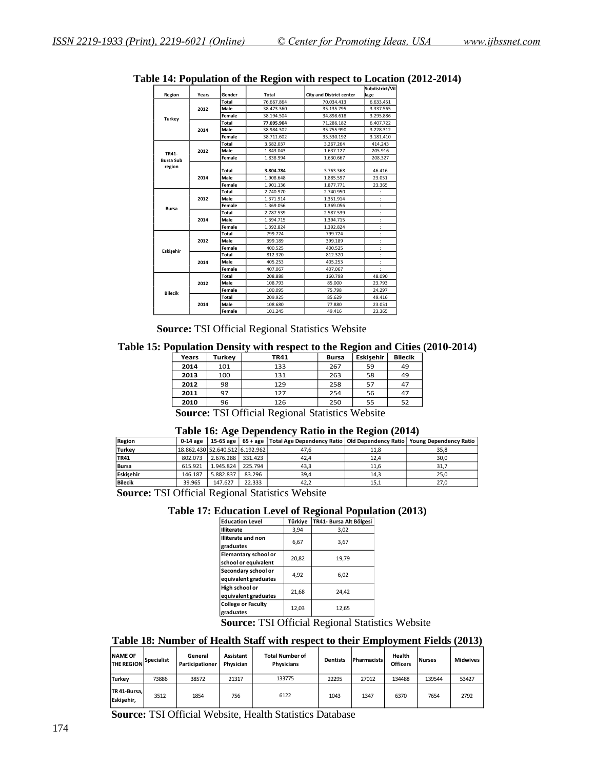|                  |       |        |              |                                 | Subdistrict/Vil |
|------------------|-------|--------|--------------|---------------------------------|-----------------|
| Region           | Years | Gender | <b>Total</b> | <b>City and District center</b> | lage            |
|                  |       | Total  | 76.667.864   | 70.034.413                      | 6.633.451       |
|                  | 2012  | Male   | 38.473.360   | 35.135.795                      | 3.337.565       |
| Turkey           |       | Female | 38.194.504   | 34.898.618                      | 3.295.886       |
|                  |       | Total  | 77.695.904   | 71.286.182                      | 6.407.722       |
|                  | 2014  | Male   | 38.984.302   | 35.755.990                      | 3.228.312       |
|                  |       | Female | 38.711.602   | 35.530.192                      | 3.181.410       |
|                  |       | Total  | 3.682.037    | 3.267.264                       | 414.243         |
| TR41-            | 2012  | Male   | 1.843.043    | 1.637.127                       | 205.916         |
| <b>Bursa Sub</b> |       | Female | 1.838.994    | 1.630.667                       | 208.327         |
| region           |       | Total  | 3.804.784    | 3.763.368                       | 46.416          |
|                  | 2014  | Male   | 1.908.648    | 1.885.597                       | 23.051          |
|                  |       | Female | 1.901.136    | 1.877.771                       | 23.365          |
|                  | 2012  | Total  | 2.740.970    | 2.740.950                       |                 |
|                  |       | Male   | 1.371.914    | 1.351.914                       |                 |
|                  |       | Female | 1.369.056    | 1.369.056                       |                 |
| <b>Bursa</b>     | 2014  | Total  | 2.787.539    | 2.587.539                       |                 |
|                  |       | Male   | 1.394.715    | 1.394.715                       |                 |
|                  |       | Female | 1.392.824    | 1.392.824                       |                 |
|                  |       | Total  | 799.724      | 799.724                         |                 |
|                  | 2012  | Male   | 399.189      | 399.189                         |                 |
| Eskişehir        |       | Female | 400.525      | 400.525                         |                 |
|                  |       | Total  | 812.320      | 812.320                         |                 |
|                  | 2014  | Male   | 405.253      | 405.253                         |                 |
|                  |       | Female | 407.067      | 407.067                         |                 |
|                  |       | Total  | 208.888      | 160.798                         | 48.090          |
|                  | 2012  | Male   | 108.793      | 85.000                          | 23.793          |
|                  |       | Female | 100.095      | 75.798                          | 24.297          |
| <b>Bilecik</b>   |       | Total  | 209.925      | 85.629                          | 49.416          |
|                  | 2014  | Male   | 108.680      | 77.880                          | 23.051          |
|                  |       | Female | 101.245      | 49.416                          | 23.365          |

**Table 14: Population of the Region with respect to Location (2012-2014)**

 **Source:** TSI Official Regional Statistics Website

**Table 15: Population Density with respect to the Region and Cities (2010-2014)**

| Years | Turkey | <b>TR41</b> | <b>Bursa</b> | Eskisehir | <b>Bilecik</b> |
|-------|--------|-------------|--------------|-----------|----------------|
| 2014  | 101    | 133         | 267          | 59        | 49             |
| 2013  | 100    | 131         | 263          | 58        | 49             |
| 2012  | 98     | 129         | 258          | 57        | 47             |
| 2011  | 97     | 127         | 254          | 56        | 47             |
| 2010  | 96     | 126         | 250          | 55        | ロつ             |

**Source: TSI Official Regional Statistics Website** 

| <b>Region</b>  | 0-14 age                        |                   |        | 15-65 age   65 + age   Total Age Dependency Ratio   Old Dependency Ratio   Young Dependency Ratio |      |      |
|----------------|---------------------------------|-------------------|--------|---------------------------------------------------------------------------------------------------|------|------|
| <b>Turkey</b>  | 18.862.430 52.640.512 6.192.962 |                   |        | 47.6                                                                                              | 11,8 | 35,8 |
| <b>TR41</b>    | 802.073                         | 2.676.288 331.423 |        | 42.4                                                                                              | 12.4 | 30,0 |
| <b>Bursa</b>   | 615.921                         | 1.945.824 225.794 |        | 43.3                                                                                              | 11.6 | 31,7 |
| Eskisehir      | 146.187                         | 5.882.837         | 83.296 | 39.4                                                                                              | 14.3 | 25.0 |
| <b>Bilecik</b> | 39.965                          | 147.627           | 22.333 | 42.2                                                                                              | 15,1 | 27.0 |

 **Source:** TSI Official Regional Statistics Website

| <b>Education Level</b>    | Türkiye | TR41- Bursa Alt Bölgesi |
|---------------------------|---------|-------------------------|
| illiterate                | 3,94    | 3,02                    |
| <b>Illiterate and non</b> | 6,67    | 3,67                    |
| graduates                 |         |                         |
| Elemantary school or      | 20,82   | 19,79                   |
| school or equivalent      |         |                         |
| Secondary school or       | 4,92    | 6.02                    |
| equivalent graduates      |         |                         |
| High school or            | 21,68   | 24,42                   |
| equivalent graduates      |         |                         |
| <b>College or Faculty</b> | 12,03   | 12,65                   |
| graduates                 |         |                         |
|                           |         |                         |

 **Source:** TSI Official Regional Statistics Website

#### **Table 18: Number of Health Staff with respect to their Employment Fields (2013)**

| <b>NAME OF</b><br><b>THE REGION</b> | Specialist | General<br>Participationer | Assistant<br>Physician | <b>Total Number of</b><br><b>Physicians</b> | <b>Dentists</b> | Pharmacists | Health<br><b>Officers</b> | <b>Nurses</b> | <b>Midwives</b> |
|-------------------------------------|------------|----------------------------|------------------------|---------------------------------------------|-----------------|-------------|---------------------------|---------------|-----------------|
| <b>Turkey</b>                       | 73886      | 38572                      | 21317                  | 133775                                      | 22295           | 27012       | 134488                    | 139544        | 53427           |
| TR 41-Bursa,<br>Eskisehir,          | 3512       | 1854                       | 756                    | 6122                                        | 1043            | 1347        | 6370                      | 7654          | 2792            |

 **Source:** TSI Official Website, Health Statistics Database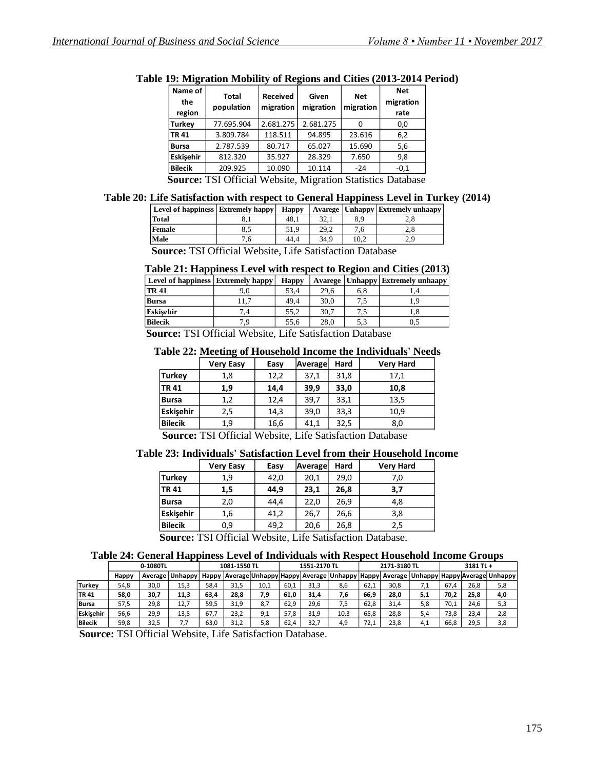| Name of<br>the<br>region | Total<br>population                                                                                                                                                                                                                                                    | <b>Received</b><br>migration | Given<br>migration | <b>Net</b><br>migration | <b>Net</b><br>migration<br>rate |
|--------------------------|------------------------------------------------------------------------------------------------------------------------------------------------------------------------------------------------------------------------------------------------------------------------|------------------------------|--------------------|-------------------------|---------------------------------|
| Turkey                   | 77.695.904                                                                                                                                                                                                                                                             | 2.681.275                    | 2.681.275          |                         | 0,0                             |
| TR 41                    | 3.809.784                                                                                                                                                                                                                                                              | 118.511                      | 94.895             | 23.616                  | 6,2                             |
| <b>Bursa</b>             | 2.787.539                                                                                                                                                                                                                                                              | 80.717                       | 65.027             | 15.690                  | 5,6                             |
| Eskisehir                | 812.320                                                                                                                                                                                                                                                                | 35.927                       | 28.329             | 7.650                   | 9,8                             |
| <b>Bilecik</b>           | 209.925                                                                                                                                                                                                                                                                | 10.090                       | 10.114             | $-24$                   | $-0,1$                          |
| $\blacksquare$           | $T(T) \cap T(T')$ $T(T)$ $T(T)$ $T(T)$ $T(T)$ $T(T)$ $T(T)$ $T(T)$ $T(T)$ $T(T)$ $T(T)$ $T(T)$ $T(T)$ $T(T)$ $T(T)$ $T(T)$ $T(T)$ $T(T)$ $T(T)$ $T(T)$ $T(T)$ $T(T)$ $T(T)$ $T(T)$ $T(T)$ $T(T)$ $T(T)$ $T(T)$ $T(T)$ $T(T)$ $T(T)$ $T(T)$ $T(T)$ $T(T)$ $T(T)$ $T(T)$ |                              |                    |                         |                                 |

**Table 19: Migration Mobility of Regions and Cities (2013-2014 Period)**

 **Source:** TSI Official Website, Migration Statistics Database

### **Table 20: Life Satisfaction with respect to General Happiness Level in Turkey (2014)**

| <b>Level of happiness Extremely happy</b> |      | <b>Happy</b> |      |      | Avarege   Unhappy   Extremely unhaapy |
|-------------------------------------------|------|--------------|------|------|---------------------------------------|
| Total                                     | o. 1 | 48.1         | 32.1 | 8.9  | 2.8                                   |
| Female                                    | 8.5  | 51.9         | 29.2 | 7.6  | 2.8                                   |
| Male                                      | '.b  | 44.4         | 34.9 | 10.2 | 2.9                                   |

 **Source:** TSI Official Website, Life Satisfaction Database

|  |  |  |  |  | Table 21: Happiness Level with respect to Region and Cities (2013) |
|--|--|--|--|--|--------------------------------------------------------------------|
|--|--|--|--|--|--------------------------------------------------------------------|

| Level of happiness Extremely happy |      | <b>Happy</b> |      |     | Avarege   Unhappy   Extremely unhaapy |
|------------------------------------|------|--------------|------|-----|---------------------------------------|
| <b>TR41</b>                        | 9.0  | 53.4         | 29,6 | 6,8 |                                       |
| <b>Bursa</b>                       | 11.7 | 49.4         | 30,0 | ر., | - 0                                   |
| Eskisehir                          |      | 55.2         | 30.7 | 7.5 | 1,8                                   |
| Bilecik                            | 7 Q  | 55.6         | 28.0 | 5.3 | 0.5                                   |

 **Source:** TSI Official Website, Life Satisfaction Database

#### **Table 22: Meeting of Household Income the Individuals' Needs**

|                                                                                                                      | <b>Very Easy</b> | Easy | Average | Hard | <b>Very Hard</b> |  |  |  |
|----------------------------------------------------------------------------------------------------------------------|------------------|------|---------|------|------------------|--|--|--|
| <b>Turkey</b>                                                                                                        | 1,8              | 12,2 | 37,1    | 31,8 | 17,1             |  |  |  |
| <b>TR41</b>                                                                                                          | 1,9              | 14,4 | 39,9    | 33,0 | 10,8             |  |  |  |
| <b>Bursa</b>                                                                                                         | 1,2              | 12,4 | 39,7    | 33,1 | 13,5             |  |  |  |
| Eskisehir                                                                                                            | 2,5              | 14,3 | 39,0    | 33,3 | 10,9             |  |  |  |
| <b>Bilecik</b>                                                                                                       | 1.9              | 16,6 | 41,1    | 32,5 | 8,0              |  |  |  |
| $\mathcal{C}$ THE OCCUPATION $\mathcal{C}$ is the set of $\mathcal{C}$ and $\mathcal{C}$ is the set of $\mathcal{C}$ |                  |      |         |      |                  |  |  |  |

 **Source:** TSI Official Website, Life Satisfaction Database

#### **Table 23: Individuals' Satisfaction Level from their Household Income**

|                | <b>Very Easy</b> | Easy | Average | Hard | <b>Very Hard</b> |
|----------------|------------------|------|---------|------|------------------|
| Turkey         | 1,9              | 42,0 | 20,1    | 29,0 | 7,0              |
| <b>TR41</b>    | 1,5              | 44,9 | 23,1    | 26,8 | 3,7              |
| <b>Bursa</b>   | 2,0              | 44,4 | 22,0    | 26,9 | 4,8              |
| Eskisehir      | 1,6              | 41,2 | 26,7    | 26,6 | 3,8              |
| <b>Bilecik</b> | 0,9              | 49,2 | 20,6    | 26,8 | 2,5              |

 **Source:** TSI Official Website, Life Satisfaction Database.

#### **Table 24: General Happiness Level of Individuals with Respect Household Income Groups**

|                | 0-1080TL     |      |                   | 1081-1550 TL |      | 1551-2170 TL |      | 2171-3180 TL |                                             |      | 3181 TL + |     |      |      |                                       |
|----------------|--------------|------|-------------------|--------------|------|--------------|------|--------------|---------------------------------------------|------|-----------|-----|------|------|---------------------------------------|
|                | <b>Happy</b> |      | Average   Unhappy | Happy        |      |              |      |              | Average Unhappy Happy Average Unhappy Happy |      |           |     |      |      | Average Unhappy Happy Average Unhappy |
| <b>Turkey</b>  | 54,8         | 30.0 | 15,3              | 58,4         | 31.5 | 10.1         | 60,1 | 31.3         | 8.6                                         | 62,1 | 30,8      | 1.1 | 67.4 | 26,8 | 5,8                                   |
| TR 41          | 58,0         | 30,7 | 11,3              | 63,4         | 28,8 | 7,9          | 61,0 | 31,4         | 7,6                                         | 66,9 | 28,0      | 5,1 | 70.2 | 25,8 | 4,0                                   |
| <b>Bursa</b>   | 57,5         | 29,8 | 12,7              | 59.5         | 31,9 | 8,7          | 62,9 | 29,6         | 7,5                                         | 62,8 | 31,4      | 5,8 | 70,1 | 24,6 | 5,3                                   |
| Eskisehir      | 56.6         | 29.9 | 13,5              | 67.7         | 23.2 | 9,1          | 57,8 | 31,9         | 10.3                                        | 65,8 | 28,8      | 5.4 | 73,8 | 23,4 | 2,8                                   |
| <b>Bilecik</b> | 59,8         | 32,5 | 7.7               | 63,0         | 31,2 | 5,8          | 62,4 | 32,7         | 4,9                                         | 72.1 | 23,8      | 4.1 | 66,8 | 29,5 | 3,8                                   |

 **Source:** TSI Official Website, Life Satisfaction Database.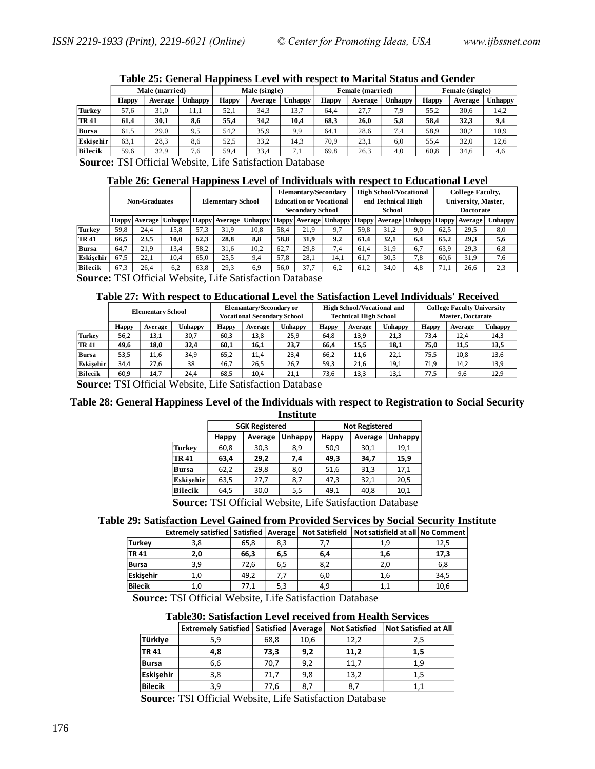|               |                |         |         | . .           |         |                |                  |         |                |                 |         |                |
|---------------|----------------|---------|---------|---------------|---------|----------------|------------------|---------|----------------|-----------------|---------|----------------|
|               | Male (married) |         |         | Male (single) |         |                | Female (married) |         |                | Female (single) |         |                |
|               | <b>Happy</b>   | Average | Jnhappy | <b>Happy</b>  | Average | <b>Unhappy</b> | <b>Happy</b>     | Average | <b>Unhappy</b> | <b>Happy</b>    | Average | <b>Unhappy</b> |
| <b>Turkey</b> | 57.6           | 31.0    | 11.1    | 52.1          | 34,3    | 13,7           | 64.4             | 27.7    | 7.9            | 55.2            | 30,6    | 14,2           |
| <b>TR41</b>   | 61,4           | 30,1    | 8,6     | 55,4          | 34.2    | 10,4           | 68.3             | 26.0    | 5,8            | 58.4            | 32,3    | 9,4            |
| Bursa         | 61,5           | 29,0    | 9,5     | 54,2          | 35,9    | 9,9            | 64.1             | 28.6    | 7.4            | 58,9            | 30,2    | 10,9           |
| Eskisehir     | 63,1           | 28,3    | 8,6     | 52.5          | 33,2    | 14,3           | 70.9             | 23,1    | 6.0            | 55.4            | 32,0    | 12,6           |
| Bilecik       | 59.6           | 32,9    | 7,6     | 59,4          | 33,4    | 7,1            | 69,8             | 26,3    | 4.0            | 60,8            | 34,6    | 4,6            |
|               |                |         |         |               |         |                |                  |         |                |                 |         |                |

#### **Table 25: General Happiness Level with respect to Marital Status and Gender**

 **Source:** TSI Official Website, Life Satisfaction Database

#### **Table 26: General Happiness Level of Individuals with respect to Educational Level**

|                | <b>Non-Graduates</b> |      |      | <b>Elementary School</b> |      | Elemantary/Secondary<br><b>Education or Vocational</b><br><b>Secondary School</b>                                               |      |      | <b>High School/Vocational</b><br>end Technical High<br>School |      |      | <b>College Faculty,</b><br>University, Master,<br><b>Doctorate</b> |      |      |                |
|----------------|----------------------|------|------|--------------------------|------|---------------------------------------------------------------------------------------------------------------------------------|------|------|---------------------------------------------------------------|------|------|--------------------------------------------------------------------|------|------|----------------|
|                |                      |      |      |                          |      | Happy   Average   Unhappy   Happy   Average   Unhappy   Happy   Average   Unhappy   Happy   Average   Unhappy   Happy   Average |      |      |                                                               |      |      |                                                                    |      |      | <b>Unhappy</b> |
| Turkey         | 59.8                 | 24.4 | 15.8 | 57.3                     | 31.9 | 10.8                                                                                                                            | 58,4 | 21.9 | 9.7                                                           | 59.8 | 31.2 | 9,0                                                                | 62.5 | 29,5 | 8,0            |
| <b>TR 41</b>   | 66.5                 | 23.5 | 10,0 | 62.3                     | 28.8 | 8,8                                                                                                                             | 58.8 | 31.9 | 9,2                                                           | 61.4 | 32.1 | 6.4                                                                | 65.2 | 29.3 | 5,6            |
| <b>Bursa</b>   | 64.7                 | 21.9 | 13.4 | 58.2                     | 31,6 | 10.2                                                                                                                            | 62,7 | 29.8 | 7.4                                                           | 61.4 | 31.9 | 6.7                                                                | 63,9 | 29.3 | 6,8            |
| Eskisehir      | 67.5                 | 22.1 | 10.4 | 65.0                     | 25.5 | 9,4                                                                                                                             | 57.8 | 28.1 | 14.1                                                          | 61.7 | 30,5 | 7.8                                                                | 60.6 | 31.9 | 7,6            |
| <b>Bilecik</b> | 67.3                 | 26.4 | 6,2  | 63.8                     | 29,3 | 6,9                                                                                                                             | 56.0 | 37.7 | 6,2                                                           | 61.2 | 34.0 | 4,8                                                                | 71,1 | 26.6 | 2,3            |
|                |                      |      |      |                          |      |                                                                                                                                 |      |      |                                                               |      |      |                                                                    |      |      |                |

 **Source:** TSI Official Website, Life Satisfaction Database

#### **Table 27: With respect to Educational Level the Satisfaction Level Individuals' Received**

|                | <b>Elementary School</b> |         |                | <b>Elemantary/Secondary or</b><br><b>Vocational Secondary School</b> |         |                | <b>High School/Vocational and</b><br><b>Technical High School</b> |         |                | <b>College Faculty University</b><br><b>Master, Doctarate</b> |         |         |
|----------------|--------------------------|---------|----------------|----------------------------------------------------------------------|---------|----------------|-------------------------------------------------------------------|---------|----------------|---------------------------------------------------------------|---------|---------|
|                | <b>Happy</b>             | Average | <b>Unhappy</b> | <b>Happy</b>                                                         | Average | <b>Unhappy</b> | <b>Happy</b>                                                      | Average | <b>Unhappy</b> | <b>Happy</b>                                                  | Average | Unhappy |
| Turkey         | 56,2                     | 13,1    | 30,7           | 60,3                                                                 | 13,8    | 25,9           | 64,8                                                              | 13,9    | 21,3           | 73,4                                                          | 12,4    | 14,3    |
| <b>TR41</b>    | 49,6                     | 18,0    | 32,4           | 60,1                                                                 | 16,1    | 23,7           | 66,4                                                              | 15,5    | 18,1           | 75,0                                                          | 11,5    | 13,5    |
| Bursa          | 53,5                     | 11,6    | 34,9           | 65.2                                                                 | 11,4    | 23,4           | 66,2                                                              | 11,6    | 22,1           | 75,5                                                          | 10,8    | 13,6    |
| Eskisehir      | 34,4                     | 27,6    | 38             | 46.7                                                                 | 26,5    | 26,7           | 59,3                                                              | 21,6    | 19,1           | 71,9                                                          | 14,2    | 13,9    |
| <b>Bilecik</b> | 60,9                     | 14.7    | 24.4           | 68,5                                                                 | 10.4    | 21.1           | 73,6                                                              | 13,3    | 13,1           | 77,5                                                          | 9,6     | 12,9    |

 **Source:** TSI Official Website, Life Satisfaction Database

#### **Table 28: General Happiness Level of the Individuals with respect to Registration to Social Security Institute**

|                |                                                                                                         | <b>SGK Registered</b> |         | <b>Not Registered</b> |         |                |  |  |  |  |
|----------------|---------------------------------------------------------------------------------------------------------|-----------------------|---------|-----------------------|---------|----------------|--|--|--|--|
|                | Happy                                                                                                   | Average               | Unhappy | Happy                 | Average | <b>Unhappy</b> |  |  |  |  |
| <b>Turkey</b>  | 60,8                                                                                                    | 30,3                  | 8,9     | 50,9                  | 30,1    | 19,1           |  |  |  |  |
| <b>TR41</b>    | 63,4                                                                                                    | 29,2                  | 7,4     | 49,3                  | 34,7    | 15,9           |  |  |  |  |
| <b>Bursa</b>   | 62,2                                                                                                    | 29,8                  | 8,0     | 51,6                  | 31,3    | 17,1           |  |  |  |  |
| Eskisehir      | 63,5                                                                                                    | 27,7                  | 8,7     | 47,3                  | 32,1    | 20,5           |  |  |  |  |
| <b>Bilecik</b> | 64,5                                                                                                    | 30,0                  | 5,5     | 49,1                  | 40,8    | 10,1           |  |  |  |  |
| $\mathbf{C}$   | <b>THE OCCUPATION</b> $\mathbf{I}$ is the $\mathbf{C}$ of $\mathbf{C}$ and $\mathbf{C}$ is $\mathbf{C}$ |                       |         |                       |         |                |  |  |  |  |

 **Source:** TSI Official Website, Life Satisfaction Database

#### **Table 29: Satisfaction Level Gained from Provided Services by Social Security Institute**

|             | <b>Extremely satisfied   Satisfied   Average  </b> |      |     | <b>Not Satisfield</b> | Not satisfield at all No Comment |      |
|-------------|----------------------------------------------------|------|-----|-----------------------|----------------------------------|------|
| Turkey      | 3,8                                                | 65,8 | 8,3 |                       | 1,9                              | 12,5 |
| <b>TR41</b> | 2,0                                                | 66,3 | 6,5 | 6,4                   | 1,6                              | 17,3 |
| Bursa       | 3,9                                                | 72,6 | 6,5 | 8,2                   | 2.0                              | 6,8  |
| Eskisehir   | 1.0                                                | 49,2 |     | 6,0                   | 1,6                              | 34,5 |
| Bilecik     |                                                    | 77,1 | 5,3 | 4,9                   | 1,1                              | 10,6 |

 **Source:** TSI Official Website, Life Satisfaction Database

#### **Table30: Satisfaction Level received from Health Services**

|                | <b>Extremely Satisfied   Satisfied   Average  </b> |      |      | <b>Not Satisfied</b> | <b>Not Satisfied at All</b> |
|----------------|----------------------------------------------------|------|------|----------------------|-----------------------------|
| Türkiye        | 5,9                                                | 68,8 | 10,6 | 12,2                 | 2,5                         |
| <b>TR41</b>    | 4,8                                                | 73,3 | 9,2  | 11,2                 | 1,5                         |
| <b>Bursa</b>   | 6,6                                                | 70,7 | 9,2  | 11,7                 | 1,9                         |
| Eskisehir      | 3,8                                                | 71,7 | 9,8  | 13,2                 | 1,5                         |
| <b>Bilecik</b> | 3,9                                                | 77,6 | 8.7  | 8,7                  | 1.1                         |

 **Source:** TSI Official Website, Life Satisfaction Database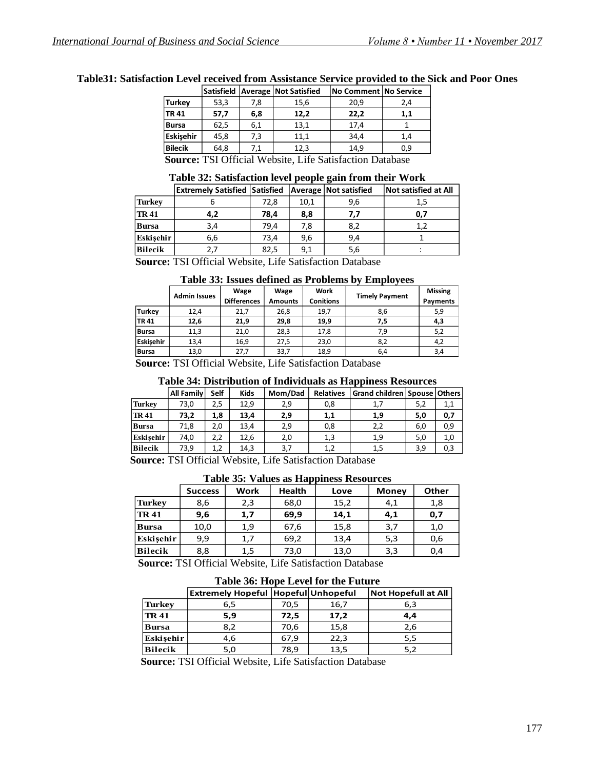|                                                               | Satisfield |     | <b>Average Not Satisfied</b> | No Comment No Service |     |  |  |  |  |
|---------------------------------------------------------------|------------|-----|------------------------------|-----------------------|-----|--|--|--|--|
| <b>Turkey</b>                                                 | 53,3       | 7,8 | 15,6                         | 20.9                  | 2,4 |  |  |  |  |
| <b>TR41</b>                                                   | 57,7       | 6,8 | 12,2                         | 22,2                  | 1,1 |  |  |  |  |
| Bursa                                                         | 62,5       | 6,1 | 13,1                         | 17,4                  |     |  |  |  |  |
| Eskisehir                                                     | 45,8       | 7,3 | 11.1                         | 34.4                  | 1.4 |  |  |  |  |
| <b>Bilecik</b>                                                | 64,8       | 7,1 | 12,3                         | 14,9                  | 0,9 |  |  |  |  |
| <b>Course</b> TVI Official Website Life Setisfection Detabase |            |     |                              |                       |     |  |  |  |  |

**Table31: Satisfaction Level received from Assistance Service provided to the Sick and Poor Ones**

 **Source:** TSI Official Website, Life Satisfaction Database

#### **Table 32: Satisfaction level people gain from their Work**

|               | <b>Extremely Satisfied Satisfied</b> |      |         | Average   Not satisfied | <b>Not satisfied at All</b> |
|---------------|--------------------------------------|------|---------|-------------------------|-----------------------------|
| <b>Turkey</b> |                                      | 72,8 | 10,1    | 9,6                     | 1.5                         |
| <b>TR41</b>   | 4,2                                  | 78,4 | 8,8     | 7.7                     | 0,7                         |
| <b>Bursa</b>  | 3,4                                  | 79.4 | 7,8     | 8,2                     |                             |
| Eskisehir     | 6,6                                  | 73.4 | 9,6     | 9.4                     |                             |
| Bilecik       | 2.7                                  | 82,5 | 9,1     | 5,6                     |                             |
| $\sim$        |                                      |      | $    -$ | $-$                     |                             |

 **Source:** TSI Official Website, Life Satisfaction Database

**Table 33: Issues defined as Problems by Employees**

|               | <b>Admin Issues</b> | Wage<br>Wage       |                | Work | <b>Timely Payment</b> | <b>Missing</b> |
|---------------|---------------------|--------------------|----------------|------|-----------------------|----------------|
|               |                     | <b>Differences</b> | <b>Amounts</b> |      |                       | Payments       |
| <b>Turkey</b> | 12,4                | 21,7               | 26,8           | 19,7 | 8,6                   | 5,9            |
| TR 41         | 12,6                | 21,9               | 29,8           | 19,9 | 7.5                   | 4,3            |
| Bursa         | 11,3                | 21,0               | 28,3           | 17,8 | 7.9                   | 5,2            |
| Eskisehir     | 13,4                | 16,9               | 27,5           | 23,0 | 8,2                   | 4,2            |
| Bursa         | 13,0                | 27,7               | 33,7           | 18,9 | 6,4                   | 3,4            |

 **Source:** TSI Official Website, Life Satisfaction Database

#### **Table 34: Distribution of Individuals as Happiness Resources**

|               | All Family | <b>Self</b> | <b>Kids</b> | Mom/Dad | <b>Relatives</b> | Grand children   Spouse   Others |     |     |
|---------------|------------|-------------|-------------|---------|------------------|----------------------------------|-----|-----|
| <b>Turkey</b> | 73,0       | 2,5         | 12,9        | 2,9     | 0,8              | 1,7                              | 5,2 | 1,1 |
| <b>TR41</b>   | 73,2       | 1,8         | 13,4        | 2,9     | 1,1              | 1,9                              | 5,0 | 0,7 |
| <b>Bursa</b>  | 71,8       | 2,0         | 13,4        | 2,9     | 0,8              | 2,2                              | 6,0 | 0,9 |
| Eskisehir     | 74,0       | 2,2         | 12,6        | 2,0     | 1,3              | 1,9                              | 5,0 | 1,0 |
| Bilecik       | 73,9       | 1,2         | 14,3        | 3,7     | 1,2              | 1,5                              | 3,9 | 0,3 |

 **Source:** TSI Official Website, Life Satisfaction Database

**Table 35: Values as Happiness Resources**

|                | <b>Success</b> | <b>Work</b> | <b>Health</b> | Love                               | <b>Money</b> | Other |
|----------------|----------------|-------------|---------------|------------------------------------|--------------|-------|
| <b>Turkey</b>  | 8,6            | 2,3         | 68,0          | 15,2                               | 4,1          | 1,8   |
| <b>TR41</b>    | 9,6            | 1,7         | 69,9          | 14,1                               | 4,1          | 0,7   |
| <b>Bursa</b>   | 10,0           | 1,9         | 67,6          | 15,8                               | 3,7          | 1,0   |
| Eskisehir      | 9,9            | 1,7         | 69,2          | 13,4                               | 5,3          | 0,6   |
| <b>Bilecik</b> | 8,8            | 1,5         | 73,0          | 13,0                               | 3,3          | 0,4   |
|                |                |             |               | $\alpha$ mator inti reace $\alpha$ |              |       |

 **Source:** TSI Official Website, Life Satisfaction Database

|                | Table 50: Hope Level for the Future          |      |      |                            |  |  |  |  |  |
|----------------|----------------------------------------------|------|------|----------------------------|--|--|--|--|--|
|                | <b>Extremely Hopeful   Hopeful Unhopeful</b> |      |      | <b>Not Hopefull at All</b> |  |  |  |  |  |
| <b>Turkey</b>  | 6,5                                          | 70,5 | 16,7 | 6,3                        |  |  |  |  |  |
| <b>TR 41</b>   | 5,9                                          | 72,5 | 17,2 | 4.4                        |  |  |  |  |  |
| <b>Bursa</b>   | 8,2                                          | 70,6 | 15,8 | 2,6                        |  |  |  |  |  |
| Eskisehir      | 4,6                                          | 67,9 | 22,3 | 5,5                        |  |  |  |  |  |
| <b>Bilecik</b> | 5,0                                          | 78,9 | 13,5 | 5,2                        |  |  |  |  |  |

**Table 36: Hope I Hope Level for the Future** 

 **Source:** TSI Official Website, Life Satisfaction Database